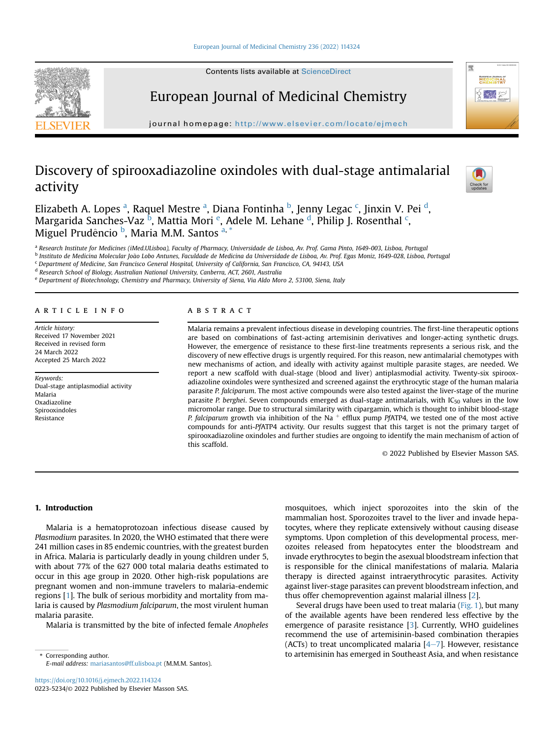



# European Journal of Medicinal Chemistry

journal homepage: <http://www.elsevier.com/locate/ejmech>

## Discovery of spirooxadiazoline oxindoles with dual-stage antimalarial activity



Eliz[a](#page-0-0)[b](#page-0-1)eth A. Lopes <sup>a</sup>, Raquel Mestre <sup>a</sup>, Diana Fontinha <sup>b</sup>, Jenny Lega[c](#page-0-2) <sup>c</sup>, Jinxin V. Pei <sup>[d](#page-0-3)</sup>, Margarida Sanches-Vaz <sup>[b](#page-0-1)</sup>, Mattia Mori <sup>[e](#page-0-4)</sup>, A[d](#page-0-3)ele M. Lehane <sup>d</sup>, Philip J. Rosenthal <sup>[c](#page-0-2)</sup>, Miguel Prudêncio <sup>[b](#page-0-1)</sup>, M[a](#page-0-0)ria M.M. Santos <sup>a, [\\*](#page-0-5)</sup>

<span id="page-0-0"></span><sup>a</sup> Research Institute for Medicines (iMed.ULisboa), Faculty of Pharmacy, Universidade de Lisboa, Av. Prof. Gama Pinto, 1649-003, Lisboa, Portugal

<span id="page-0-1"></span><sup>b</sup> Instituto de Medicina Molecular João Lobo Antunes, Faculdade de Medicina da Universidade de Lisboa, Av. Prof. Egas Moniz, 1649-028, Lisboa, Portugal

<span id="page-0-2"></span><sup>c</sup> Department of Medicine, San Francisco General Hospital, University of California, San Francisco, CA, 94143, USA

<span id="page-0-3"></span><sup>d</sup> Research School of Biology, Australian National University, Canberra, ACT, 2601, Australia

<span id="page-0-4"></span><sup>e</sup> Department of Biotechnology, Chemistry and Pharmacy, University of Siena, Via Aldo Moro 2, 53100, Siena, Italy

#### article info

Article history: Received 17 November 2021 Received in revised form 24 March 2022 Accepted 25 March 2022

Keywords: Dual-stage antiplasmodial activity Malaria Oxadiazoline Spirooxindoles Resistance

## ABSTRACT

Malaria remains a prevalent infectious disease in developing countries. The first-line therapeutic options are based on combinations of fast-acting artemisinin derivatives and longer-acting synthetic drugs. However, the emergence of resistance to these first-line treatments represents a serious risk, and the discovery of new effective drugs is urgently required. For this reason, new antimalarial chemotypes with new mechanisms of action, and ideally with activity against multiple parasite stages, are needed. We report a new scaffold with dual-stage (blood and liver) antiplasmodial activity. Twenty-six spirooxadiazoline oxindoles were synthesized and screened against the erythrocytic stage of the human malaria parasite P. falciparum. The most active compounds were also tested against the liver-stage of the murine parasite P. berghei. Seven compounds emerged as dual-stage antimalarials, with  $IC_{50}$  values in the low micromolar range. Due to structural similarity with cipargamin, which is thought to inhibit blood-stage P. falciparum growth via inhibition of the Na  $^+$  efflux pump PfATP4, we tested one of the most active compounds for anti-PfATP4 activity. Our results suggest that this target is not the primary target of spirooxadiazoline oxindoles and further studies are ongoing to identify the main mechanism of action of this scaffold.

© 2022 Published by Elsevier Masson SAS.

## 1. Introduction

Malaria is a hematoprotozoan infectious disease caused by Plasmodium parasites. In 2020, the WHO estimated that there were 241 million cases in 85 endemic countries, with the greatest burden in Africa. Malaria is particularly deadly in young children under 5, with about 77% of the 627 000 total malaria deaths estimated to occur in this age group in 2020. Other high-risk populations are pregnant women and non-immune travelers to malaria-endemic regions [[1\]](#page-9-0). The bulk of serious morbidity and mortality from malaria is caused by Plasmodium falciparum, the most virulent human malaria parasite.

Malaria is transmitted by the bite of infected female Anopheles

<span id="page-0-5"></span>E-mail address: [mariasantos@ff.ulisboa.pt](mailto:mariasantos@ff.ulisboa.pt) (M.M.M. Santos).

mosquitoes, which inject sporozoites into the skin of the mammalian host. Sporozoites travel to the liver and invade hepatocytes, where they replicate extensively without causing disease symptoms. Upon completion of this developmental process, merozoites released from hepatocytes enter the bloodstream and invade erythrocytes to begin the asexual bloodstream infection that is responsible for the clinical manifestations of malaria. Malaria therapy is directed against intraerythrocytic parasites. Activity against liver-stage parasites can prevent bloodstream infection, and thus offer chemoprevention against malarial illness [[2\]](#page-9-1).

Several drugs have been used to treat malaria [\(Fig. 1\)](#page-1-0), but many of the available agents have been rendered less effective by the emergence of parasite resistance [[3](#page-9-2)]. Currently, WHO guidelines recommend the use of artemisinin-based combination therapies (ACTs) to treat uncomplicated malaria  $[4-7]$  $[4-7]$  $[4-7]$ . However, resistance \* Corresponding author. to artemisinin has emerged in Southeast Asia, and when resistance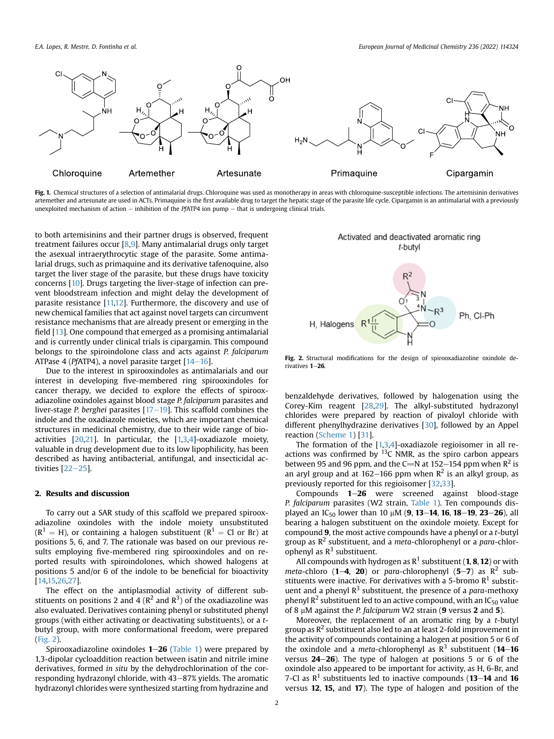<span id="page-1-0"></span>

Fig. 1. Chemical structures of a selection of antimalarial drugs. Chloroquine was used as monotherapy in areas with chloroquine-susceptible infections. The artemisinin derivatives artemether and artesunate are used in ACTs. Primaquine is the first available drug to target the hepatic stage of the parasite life cycle. Cipargamin is an antimalarial with a previously unexploited mechanism of action  $-$  inhibition of the PfATP4 ion pump  $-$  that is undergoing clinical trials.

to both artemisinins and their partner drugs is observed, frequent treatment failures occur [\[8,](#page-9-4)[9](#page-9-5)]. Many antimalarial drugs only target the asexual intraerythrocytic stage of the parasite. Some antimalarial drugs, such as primaquine and its derivative tafenoquine, also target the liver stage of the parasite, but these drugs have toxicity concerns [[10\]](#page-9-6). Drugs targeting the liver-stage of infection can prevent bloodstream infection and might delay the development of parasite resistance [\[11,](#page-9-7)[12\]](#page-9-8). Furthermore, the discovery and use of new chemical families that act against novel targets can circumvent resistance mechanisms that are already present or emerging in the field [\[13](#page-9-9)]. One compound that emerged as a promising antimalarial and is currently under clinical trials is cipargamin. This compound belongs to the spiroindolone class and acts against P. falciparum ATPase 4 (PfATP4), a novel parasite target  $[14-16]$  $[14-16]$  $[14-16]$ .

Due to the interest in spirooxindoles as antimalarials and our interest in developing five-membered ring spirooxindoles for cancer therapy, we decided to explore the effects of spirooxadiazoline oxindoles against blood stage P. falciparum parasites and liver-stage P. berghei parasites  $[17-19]$  $[17-19]$  $[17-19]$  $[17-19]$ . This scaffold combines the indole and the oxadiazole moieties, which are important chemical structures in medicinal chemistry, due to their wide range of bioactivities [\[20,](#page-9-12)[21\]](#page-9-13). In particular, the [[1,](#page-9-0)[3](#page-9-2)[,4](#page-9-3)]-oxadiazole moiety, valuable in drug development due to its low lipophilicity, has been described as having antibacterial, antifungal, and insecticidal activities  $[22-25]$  $[22-25]$  $[22-25]$  $[22-25]$ .

### 2. Results and discussion

To carry out a SAR study of this scaffold we prepared spirooxadiazoline oxindoles with the indole moiety unsubstituted  $(R^1 = H)$ , or containing a halogen substituent  $(R^1 = Cl \text{ or } Br)$  at positions 5, 6, and 7. The rationale was based on our previous results employing five-membered ring spirooxindoles and on reported results with spiroindolones, which showed halogens at positions 5 and/or 6 of the indole to be beneficial for bioactivity [[14](#page-9-10)[,15,](#page-9-15)[26](#page-10-0)[,27](#page-10-1)].

The effect on the antiplasmodial activity of different substituents on positions 2 and 4 ( $\mathsf{R}^2$  and  $\mathsf{R}^3$ ) of the oxadiazoline was also evaluated. Derivatives containing phenyl or substituted phenyl groups (with either activating or deactivating substituents), or a tbutyl group, with more conformational freedom, were prepared ([Fig. 2\)](#page-1-1).

Spirooxadiazoline oxindoles  $1-26$  [\(Table 1\)](#page-2-0) were prepared by 1,3-dipolar cycloaddition reaction between isatin and nitrile imine derivatives, formed in situ by the dehydrochlorination of the corresponding hydrazonyl chloride, with 43-87% yields. The aromatic hydrazonyl chlorides were synthesized starting from hydrazine and

<span id="page-1-1"></span>

Fig. 2. Structural modifications for the design of spirooxadiazoline oxindole derivatives  $1-26$ .

benzaldehyde derivatives, followed by halogenation using the Corey-Kim reagent [[28](#page-10-2)[,29\]](#page-10-3). The alkyl-substituted hydrazonyl chlorides were prepared by reaction of pivaloyl chloride with different phenylhydrazine derivatives [[30](#page-10-4)], followed by an Appel reaction ([Scheme 1\)](#page-2-1) [[31](#page-10-5)].

The formation of the [[1,](#page-9-0)[3,](#page-9-2)[4](#page-9-3)]-oxadiazole regioisomer in all reactions was confirmed by  $^{13}$ C NMR, as the spiro carbon appears between 95 and 96 ppm, and the C=N at 152–154 ppm when  $\mathbb{R}^2$  is an aryl group and at 162–166 ppm when  $R^2$  is an alkyl group, as previously reported for this regioisomer [[32](#page-10-6)[,33\]](#page-10-7).

Compounds  $1-26$  were screened against blood-stage P. falciparum parasites (W2 strain, [Table 1](#page-2-0)). Ten compounds displayed an IC<sub>50</sub> lower than 10  $\mu$ M (9, 13–14, 16, 18–19, 23–26), all bearing a halogen substituent on the oxindole moiety. Except for compound 9, the most active compounds have a phenyl or a t-butyl group as  $R^2$  substituent, and a *meta*-chlorophenyl or a *para*-chlorophenyl as  $R^3$  substituent.

All compounds with hydrogen as  $R^1$  substituent (1, 8, 12) or with meta-chloro (1-4, 20) or para-chlorophenyl (5-7) as  $\mathbb{R}^2$  substituents were inactive. For derivatives with a 5-bromo  $R<sup>1</sup>$  substituent and a phenyl  $R^3$  substituent, the presence of a para-methoxy phenyl  $\mathbb{R}^2$  substituent led to an active compound, with an IC<sub>50</sub> value of 8  $\mu$ M against the *P. falciparum* W2 strain (9 versus 2 and 5).

Moreover, the replacement of an aromatic ring by a t-butyl group as  $R^2$  substituent also led to an at least 2-fold improvement in the activity of compounds containing a halogen at position 5 or 6 of the oxindole and a *meta*-chlorophenyl as  $R^3$  substituent (14–16 versus  $24-26$ ). The type of halogen at positions 5 or 6 of the oxindole also appeared to be important for activity, as H, 6-Br, and 7-Cl as  $\mathbb{R}^1$  substituents led to inactive compounds (13–14 and 16 versus 12, 15, and 17). The type of halogen and position of the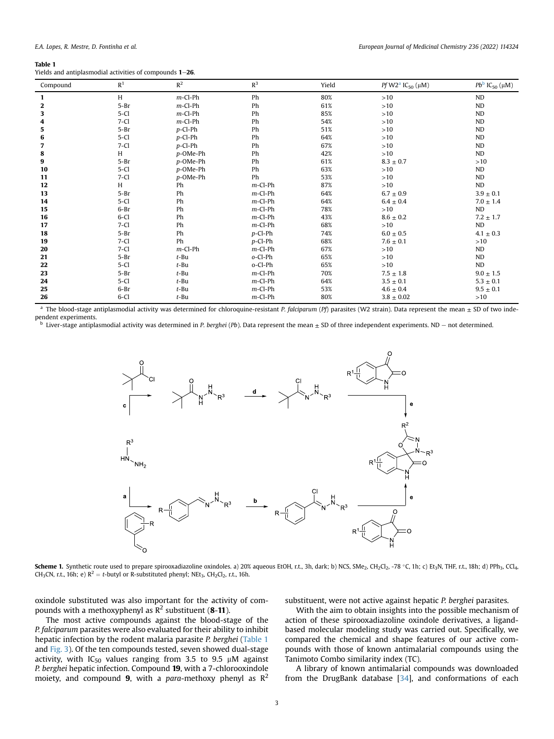#### <span id="page-2-0"></span>Table 1

| Yields and antiplasmodial activities of compounds 1–26. |  |
|---------------------------------------------------------|--|
|---------------------------------------------------------|--|

| Compound | R <sup>1</sup> | $R^2$      | $R^3$      | Yield | <i>Pf</i> W2 <sup>a</sup> IC <sub>50</sub> ( $\mu$ M) | $Pb^{b}$ IC <sub>50</sub> ( $\mu$ M) |
|----------|----------------|------------|------------|-------|-------------------------------------------------------|--------------------------------------|
| 1        | H              | $m$ -Cl-Ph | Ph         | 80%   | >10                                                   | <b>ND</b>                            |
| 2        | $5-Br$         | $m$ -Cl-Ph | Ph         | 61%   | >10                                                   | <b>ND</b>                            |
| 3        | $5 - C1$       | $m$ -Cl-Ph | Ph         | 85%   | >10                                                   | ND                                   |
| 4        | $7-Cl$         | $m$ -Cl-Ph | Ph         | 54%   | $>10$                                                 | <b>ND</b>                            |
| 5        | $5-Br$         | $p$ -Cl-Ph | Ph         | 51%   | >10                                                   | <b>ND</b>                            |
| 6        | $5-Cl$         | $p$ -Cl-Ph | Ph         | 64%   | >10                                                   | <b>ND</b>                            |
| 7        | $7 - C1$       | $p$ -Cl-Ph | Ph         | 67%   | >10                                                   | <b>ND</b>                            |
| 8        | H              | p-OMe-Ph   | Ph         | 42%   | >10                                                   | ND                                   |
| 9        | $5-Br$         | p-OMe-Ph   | Ph         | 61%   | $8.3 \pm 0.7$                                         | >10                                  |
| 10       | $5-Cl$         | p-OMe-Ph   | Ph         | 63%   | >10                                                   | <b>ND</b>                            |
| 11       | $7-Cl$         | p-OMe-Ph   | Ph         | 53%   | >10                                                   | ND                                   |
| 12       | H              | Ph         | $m$ -Cl-Ph | 87%   | >10                                                   | ND                                   |
| 13       | $5-Br$         | Ph         | $m$ -Cl-Ph | 64%   | $6.7 \pm 0.9$                                         | $3.9 \pm 0.1$                        |
| 14       | $5-C1$         | Ph         | $m$ -Cl-Ph | 64%   | $6.4 \pm 0.4$                                         | $7.0 \pm 1.4$                        |
| 15       | $6-Br$         | Ph         | $m$ -Cl-Ph | 78%   | >10                                                   | ND                                   |
| 16       | $6 - C1$       | Ph         | $m$ -Cl-Ph | 43%   | $8.6 \pm 0.2$                                         | $7.2 \pm 1.7$                        |
| 17       | $7 - C1$       | Ph         | $m$ -Cl-Ph | 68%   | >10                                                   | ND                                   |
| 18       | $5-Br$         | Ph         | $p$ -Cl-Ph | 74%   | $6.0 \pm 0.5$                                         | $4.1 \pm 0.3$                        |
| 19       | $7 - C1$       | Ph         | $p$ -Cl-Ph | 68%   | $7.6 \pm 0.1$                                         | >10                                  |
| 20       | $7-Cl$         | $m$ -Cl-Ph | $m$ -Cl-Ph | 67%   | >10                                                   | ND                                   |
| 21       | $5-Br$         | $t$ -Bu    | o-Cl-Ph    | 65%   | >10                                                   | ND                                   |
| 22       | $5 - C1$       | $t$ -Bu    | o-Cl-Ph    | 65%   | >10                                                   | ND                                   |
| 23       | $5-Br$         | $t$ -Bu    | $m$ -Cl-Ph | 70%   | $7.5 \pm 1.8$                                         | $9.0 \pm 1.5$                        |
| 24       | $5 - C1$       | $t$ -Bu    | $m$ -Cl-Ph | 64%   | $3.5 \pm 0.1$                                         | $5.3 \pm 0.1$                        |
| 25       | $6-Br$         | $t$ -Bu    | $m$ -Cl-Ph | 53%   | $4.6 \pm 0.4$                                         | $9.5 \pm 0.1$                        |
| 26       | 6-Cl           | $t$ -Bu    | $m$ -Cl-Ph | 80%   | $3.8 \pm 0.02$                                        | >10                                  |

<span id="page-2-2"></span><sup>a</sup> The blood-stage antiplasmodial activity was determined for chloroquine-resistant P. falciparum (Pf) parasites (W2 strain). Data represent the mean  $\pm$  SD of two independent experiments.

<span id="page-2-3"></span><span id="page-2-1"></span><sup>b</sup> Liver-stage antiplasmodial activity was determined in P. berghei (Pb). Data represent the mean  $\pm$  SD of three independent experiments. ND – not determined.



**Scheme 1.** Synthetic route used to prepare spirooxadiazoline oxindoles. a) 20% aqueous EtOH, r.t., 3h, dark; b) NCS, SMe<sub>2</sub>, CH<sub>2</sub>Cl<sub>2</sub>, -78 °C, 1h; c) Et<sub>3</sub>N, THF, r.t., 18h; d) PPh3, CCl<sub>4</sub> CH<sub>3</sub>CN, r.t., 16h; e)  $R^2 = t$ -butyl or R-substituted phenyl; NEt<sub>3</sub>, CH<sub>2</sub>Cl<sub>2</sub>, r.t., 16h.

oxindole substituted was also important for the activity of compounds with a methoxyphenyl as  $\mathbb{R}^2$  substituent (8-11).

The most active compounds against the blood-stage of the P. falciparum parasites were also evaluated for their ability to inhibit hepatic infection by the rodent malaria parasite P. berghei ([Table 1](#page-2-0) and [Fig. 3\)](#page-3-0). Of the ten compounds tested, seven showed dual-stage activity, with  $IC_{50}$  values ranging from 3.5 to 9.5  $\mu$ M against P. berghei hepatic infection. Compound 19, with a 7-chlorooxindole moiety, and compound 9, with a para-methoxy phenyl as  $R^2$ 

substituent, were not active against hepatic P. berghei parasites.

With the aim to obtain insights into the possible mechanism of action of these spirooxadiazoline oxindole derivatives, a ligandbased molecular modeling study was carried out. Specifically, we compared the chemical and shape features of our active compounds with those of known antimalarial compounds using the Tanimoto Combo similarity index (TC).

A library of known antimalarial compounds was downloaded from the DrugBank database [\[34\]](#page-10-8), and conformations of each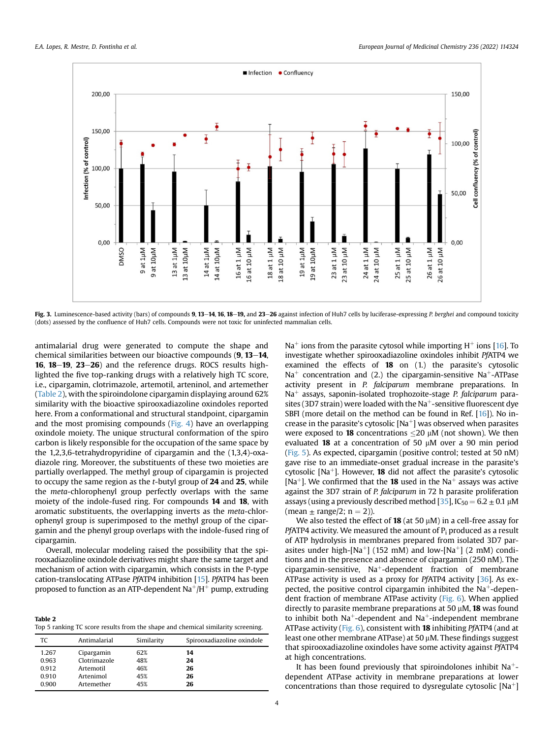<span id="page-3-0"></span>

Fig. 3. Luminescence-based activity (bars) of compounds 9, 13-14, 16, 18-19, and 23-26 against infection of Huh7 cells by luciferase-expressing P. berghei and compound toxicity (dots) assessed by the confluence of Huh7 cells. Compounds were not toxic for uninfected mammalian cells.

antimalarial drug were generated to compute the shape and chemical similarities between our bioactive compounds  $(9, 13-14, 10)$ 16,  $18-19$ ,  $23-26$ ) and the reference drugs. ROCS results highlighted the five top-ranking drugs with a relatively high TC score, i.e., cipargamin, clotrimazole, artemotil, arteninol, and artemether ([Table 2\)](#page-3-1), with the spiroindolone cipargamin displaying around 62% similarity with the bioactive spirooxadiazoline oxindoles reported here. From a conformational and structural standpoint, cipargamin and the most promising compounds ([Fig. 4\)](#page-4-0) have an overlapping oxindole moiety. The unique structural conformation of the spiro carbon is likely responsible for the occupation of the same space by the 1,2,3,6-tetrahydropyridine of cipargamin and the (1,3,4)-oxadiazole ring. Moreover, the substituents of these two moieties are partially overlapped. The methyl group of cipargamin is projected to occupy the same region as the t-butyl group of 24 and 25, while the meta-chlorophenyl group perfectly overlaps with the same moiety of the indole-fused ring. For compounds 14 and 18, with aromatic substituents, the overlapping inverts as the meta-chlorophenyl group is superimposed to the methyl group of the cipargamin and the phenyl group overlaps with the indole-fused ring of cipargamin.

Overall, molecular modeling raised the possibility that the spirooxadiazoline oxindole derivatives might share the same target and mechanism of action with cipargamin, which consists in the P-type cation-translocating ATPase PfATP4 inhibition [[15\]](#page-9-15). PfATP4 has been proposed to function as an ATP-dependent  $Na^+/H^+$  pump, extruding

<span id="page-3-1"></span>Table 2 Top 5 ranking TC score results from the shape and chemical similarity screening.

| Antimalarial | Similarity | Spirooxadiazoline oxindole |
|--------------|------------|----------------------------|
| Cipargamin   | 62%        | 14                         |
| Clotrimazole | 48%        | 24                         |
| Artemotil    | 46%        | 26                         |
| Artenimol    | 45%        | 26                         |
| Artemether   | 45%        | 26                         |
|              |            |                            |

 $Na<sup>+</sup>$  ions from the parasite cytosol while importing H<sup>+</sup> ions [\[16\]](#page-9-16). To investigate whether spirooxadiazoline oxindoles inhibit PfATP4 we examined the effects of 18 on (1.) the parasite's cytosolic  $Na<sup>+</sup>$  concentration and (2.) the cipargamin-sensitive Na<sup>+</sup>-ATPase activity present in P. falciparum membrane preparations. In  $Na<sup>+</sup>$  assays, saponin-isolated trophozoite-stage P. falciparum parasites (3D7 strain) were loaded with the Na<sup>+</sup>-sensitive fluorescent dye SBFI (more detail on the method can be found in Ref. [\[16](#page-9-16)]). No increase in the parasite's cytosolic  $[Na^+]$  was observed when parasites were exposed to **18** concentrations  $\leq$  20  $\mu$ M (not shown). We then evaluated 18 at a concentration of 50  $\mu$ M over a 90 min period ([Fig. 5](#page-4-1)). As expected, cipargamin (positive control; tested at 50 nM) gave rise to an immediate-onset gradual increase in the parasite's cytosolic [Na<sup>+</sup>]. However, **18** did not affect the parasite's cytosolic [Na<sup>+</sup>]. We confirmed that the **18** used in the Na<sup>+</sup> assays was active against the 3D7 strain of P. falciparum in 72 h parasite proliferation assays (using a previously described method [\[35](#page-10-9)],  $IC_{50} = 6.2 \pm 0.1 \mu M$ (mean  $\pm$  range/2; n = 2)).

We also tested the effect of **18** (at 50  $\mu$ M) in a cell-free assay for PfATP4 activity. We measured the amount of  $P_i$  produced as a result of ATP hydrolysis in membranes prepared from isolated 3D7 parasites under high-[Na<sup>+</sup>] (152 mM) and low-[Na<sup>+</sup>] (2 mM) conditions and in the presence and absence of cipargamin (250 nM). The cipargamin-sensitive,  $Na^+$ -dependent fraction of membrane ATPase activity is used as a proxy for PfATP4 activity [\[36\]](#page-10-10). As expected, the positive control cipargamin inhibited the  $Na<sup>+</sup>$ -dependent fraction of membrane ATPase activity ([Fig. 6](#page-4-2)). When applied directly to parasite membrane preparations at 50  $\mu$ M, **18** was found to inhibit both  $Na^+$ -dependent and  $Na^+$ -independent membrane ATPase activity ([Fig. 6](#page-4-2)), consistent with 18 inhibiting PfATP4 (and at least one other membrane ATPase) at  $50 \mu$ M. These findings suggest that spirooxadiazoline oxindoles have some activity against PfATP4 at high concentrations.

It has been found previously that spiroindolones inhibit  $Na<sup>+</sup>$ dependent ATPase activity in membrane preparations at lower concentrations than those required to dysregulate cytosolic  $[Na^+]$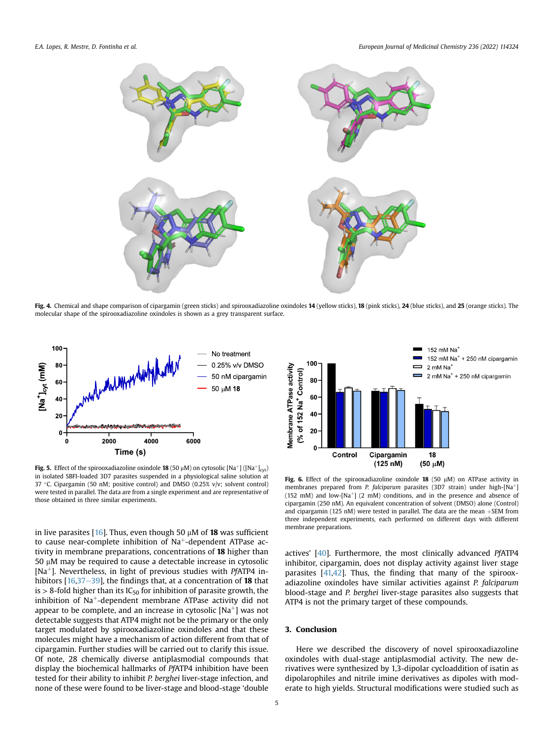<span id="page-4-0"></span>

Fig. 4. Chemical and shape comparison of cipargamin (green sticks) and spirooxadiazoline oxindoles 14 (yellow sticks), 18 (pink sticks), 24 (blue sticks), and 25 (orange sticks). The molecular shape of the spirooxadiazoline oxindoles is shown as a grey transparent surface.

<span id="page-4-1"></span>

**Fig. 5.** Effect of the spirooxadiazoline oxindole **18** (50  $\mu$ M) on cytosolic [Na<sup>+</sup>] ([Na<sup>+</sup>]<sub>cyt</sub>) in isolated SBFI-loaded 3D7 parasites suspended in a physiological saline solution at 37 °C. Cipargamin (50 nM; positive control) and DMSO (0.25% v/v; solvent control) were tested in parallel. The data are from a single experiment and are representative of those obtained in three similar experiments.

in live parasites [[16\]](#page-9-16). Thus, even though 50  $\mu$ M of **18** was sufficient to cause near-complete inhibition of  $Na<sup>+</sup>$ -dependent ATPase activity in membrane preparations, concentrations of 18 higher than  $50 \mu$ M may be required to cause a detectable increase in cytosolic [Na<sup>+</sup>]. Nevertheless, in light of previous studies with *PfATP4* inhibitors  $[16,37-39]$  $[16,37-39]$  $[16,37-39]$  $[16,37-39]$ , the findings that, at a concentration of **18** that is  $> 8$ -fold higher than its IC<sub>50</sub> for inhibition of parasite growth, the inhibition of  $Na<sup>+</sup>$ -dependent membrane ATPase activity did not appear to be complete, and an increase in cytosolic  $[Na^+]$  was not detectable suggests that ATP4 might not be the primary or the only target modulated by spirooxadiazoline oxindoles and that these molecules might have a mechanism of action different from that of cipargamin. Further studies will be carried out to clarify this issue. Of note, 28 chemically diverse antiplasmodial compounds that display the biochemical hallmarks of PfATP4 inhibition have been tested for their ability to inhibit P. berghei liver-stage infection, and none of these were found to be liver-stage and blood-stage 'double

<span id="page-4-2"></span>

Fig. 6. Effect of the spirooxadiazoline oxindole 18 (50  $\mu$ M) on ATPase activity in membranes prepared from P. falciparum parasites (3D7 strain) under high- $[Na^+]$ (152 mM) and low-[Na<sup>+</sup>] (2 mM) conditions, and in the presence and absence of cipargamin (250 nM). An equivalent concentration of solvent (DMSO) alone (Control) and cipargamin (125 nM) were tested in parallel. The data are the mean  $+$ SEM from three independent experiments, each performed on different days with different membrane preparations.

actives' [[40\]](#page-10-12). Furthermore, the most clinically advanced PfATP4 inhibitor, cipargamin, does not display activity against liver stage parasites [[41,](#page-10-13)[42\]](#page-10-14). Thus, the finding that many of the spirooxadiazoline oxindoles have similar activities against P. falciparum blood-stage and P. berghei liver-stage parasites also suggests that ATP4 is not the primary target of these compounds.

#### 3. Conclusion

Here we described the discovery of novel spirooxadiazoline oxindoles with dual-stage antiplasmodial activity. The new derivatives were synthesized by 1,3-dipolar cycloaddition of isatin as dipolarophiles and nitrile imine derivatives as dipoles with moderate to high yields. Structural modifications were studied such as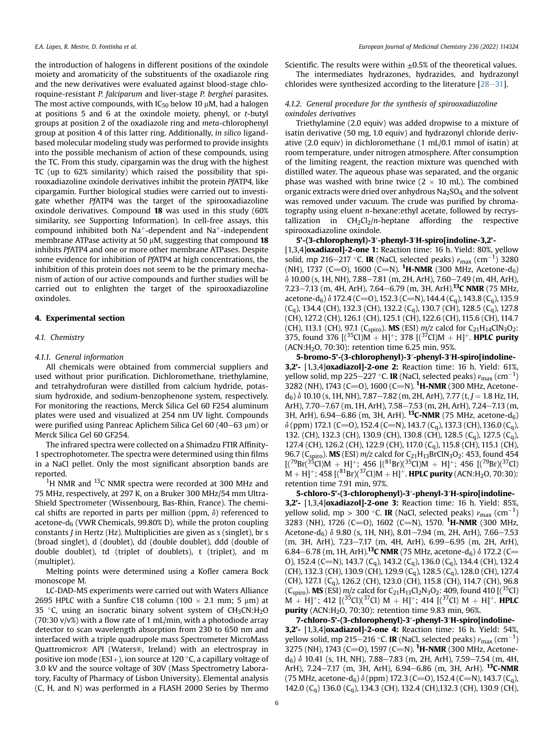the introduction of halogens in different positions of the oxindole moiety and aromaticity of the substituents of the oxadiazole ring and the new derivatives were evaluated against blood-stage chloroquine-resistant P. falciparum and liver-stage P. berghei parasites. The most active compounds, with  $IC_{50}$  below 10  $µM$ , had a halogen at positions 5 and 6 at the oxindole moiety, phenyl, or  $t$ -butyl groups at position 2 of the oxadiazole ring and meta-chlorophenyl group at position 4 of this latter ring. Additionally, in silico ligandbased molecular modeling study was performed to provide insights into the possible mechanism of action of these compounds, using the TC. From this study, cipargamin was the drug with the highest TC (up to 62% similarity) which raised the possibility that spirooxadiazoline oxindole derivatives inhibit the protein PfATP4, like cipargamin. Further biological studies were carried out to investigate whether PfATP4 was the target of the spirooxadiazoline oxindole derivatives. Compound 18 was used in this study (60% similarity, see Supporting Information). In cell-free assays, this compound inhibited both  $Na^+$ -dependent and  $Na^+$ -independent membrane ATPase activity at 50  $\mu$ M, suggesting that compound 18 inhibits PfATP4 and one or more other membrane ATPases. Despite some evidence for inhibition of PfATP4 at high concentrations, the inhibition of this protein does not seem to be the primary mechanism of action of our active compounds and further studies will be carried out to enlighten the target of the spirooxadiazoline oxindoles.

#### 4. Experimental section

#### 4.1. Chemistry

#### 4.1.1. General information

All chemicals were obtained from commercial suppliers and used without prior purification. Dichloromethane, triethylamine, and tetrahydrofuran were distilled from calcium hydride, potassium hydroxide, and sodium-benzophenone system, respectively. For monitoring the reactions, Merck Silica Gel 60 F254 aluminum plates were used and visualized at 254 nm UV light. Compounds were purified using Panreac Aplichem Silica Gel  $60 (40-63 \mu m)$  or Merck Silica Gel 60 GF254.

The infrared spectra were collected on a Shimadzu FTIR Affinity-1 spectrophotometer. The spectra were determined using thin films in a NaCl pellet. Only the most significant absorption bands are reported.

 $1$ H NMR and  $13$ C NMR spectra were recorded at 300 MHz and 75 MHz, respectively, at 297 K, on a Bruker 300 MHz/54 mm Ultra-Shield Spectrometer (Wissenbourg, Bas-Rhin, France). The chemical shifts are reported in parts per million (ppm,  $\delta$ ) referenced to acetone- $d_6$  (VWR Chemicals, 99.80% D), while the proton coupling constants J in Hertz (Hz). Multiplicities are given as s (singlet), br s (broad singlet), d (doublet), dd (double doublet), ddd (double of double doublet), td (triplet of doublets), t (triplet), and m (multiplet).

Melting points were determined using a Kofler camera Bock monoscope M.

LC-DAD-MS experiments were carried out with Waters Alliance 2695 HPLC with a Sunfire C18 column (100  $\times$  2.1 mm; 5 µm) at 35  $\degree$ C, using an isocratic binary solvent system of CH<sub>3</sub>CN:H<sub>2</sub>O  $(70:30 \text{ v/v\%)}$  with a flow rate of 1 mL/min, with a photodiode array detector to scan wavelength absorption from 230 to 650 nm and interfaced with a triple quadrupole mass Spectrometer MicroMass Quattromicro® API (Waters®, Ireland) with an electrospray in positive ion mode (ESI $+$ ), ion source at 120 °C, a capillary voltage of 3.0 kV and the source voltage of 30V (Mass Spectrometry Laboratory, Faculty of Pharmacy of Lisbon University). Elemental analysis (C, H, and N) was performed in a FLASH 2000 Series by Thermo Scientific. The results were within  $\pm 0.5\%$  of the theoretical values. The intermediates hydrazones, hydrazides, and hydrazonyl

chlorides were synthesized according to the literature  $[28-31]$  $[28-31]$  $[28-31]$  $[28-31]$ .

## 4.1.2. General procedure for the synthesis of spirooxadiazoline oxindoles derivatives

Triethylamine (2.0 equiv) was added dropwise to a mixture of isatin derivative (50 mg, 1.0 equiv) and hydrazonyl chloride derivative (2.0 equiv) in dichloromethane (1 mL/0.1 mmol of isatin) at room temperature, under nitrogen atmosphere. After consumption of the limiting reagent, the reaction mixture was quenched with distilled water. The aqueous phase was separated, and the organic phase was washed with brine twice  $(2 \times 10 \text{ mL})$ . The combined organic extracts were dried over anhydrous  $Na<sub>2</sub>SO<sub>4</sub>$  and the solvent was removed under vacuum. The crude was purified by chromatography using eluent n-hexane:ethyl acetate, followed by recrystallization in  $CH_2Cl_2/n$ -heptane affording the respective spirooxadiazoline oxindole.

#### 5'-(3-chlorophenyl)-3′-phenyl-3′H-spiro[indoline-3,2'-

[1,3,4]oxadiazol]-2-one 1: Reaction time: 16 h. Yield: 80%, yellow solid, mp 216–217 °C. **IR** (NaCl, selected peaks)  $\nu_{\text{max}}$  (cm<sup>-1</sup>) 3280 (NH), 1737 (C=O), 1600 (C=N). <sup>1</sup>H-NMR (300 MHz, Acetone-d<sub>6</sub>)  $\delta$  10.00 (s, 1H, NH), 7.88-7.81 (m, 2H, ArH), 7.60-7.49 (m, 4H, ArH), 7.23-7.13 (m, 4H, ArH), 7.64-6.79 (m, 3H, ArH).<sup>13</sup>C NMR (75 MHz, acetone-d<sub>6</sub>)  $\delta$  172.4 (C=O), 152.3 (C=N), 144.4 (C<sub>q</sub>), 143.8 (C<sub>q</sub>), 135.9  $(C_q)$ , 134.4 (CH), 132.3 (CH), 132.2 (C<sub>q</sub>), 130.7 (CH), 128.5 (C<sub>q</sub>), 127.8 (CH), 127.2 (CH), 126.1 (CH), 125.1 (CH), 122.6 (CH), 115.6 (CH), 114.7 (CH), 113.1 (CH), 97.1 (C<sub>spiro</sub>). **MS** (ESI)  $m/z$  calcd for C<sub>21</sub>H<sub>14</sub>ClN<sub>3</sub>O<sub>2</sub>: 375, found 376  $[(35)$ Cl)M + H]<sup>+</sup>; 378  $[(37)$ Cl)M + H]<sup>+</sup>. **HPLC purity** (ACN:H2O, 70:30): retention time 6.25 min, 95%.

5-bromo-5'-(3-chlorophenyl)-3′-phenyl-3′H-spiro[indoline-3,2'- [1,3,4]oxadiazol]-2-one 2: Reaction time: 16 h. Yield: 61%, yellow solid, mp 225–227 °C. **IR** (NaCl, selected peaks)  $\nu_{\text{max}}$  (cm $^{-1}$ ) 3282 (NH), 1743 (C=O), 1600 (C=N). <sup>1</sup>H-NMR (300 MHz, Acetone $d_6$ )  $\delta$  10.10 (s, 1H, NH), 7.87–7.82 (m, 2H, ArH), 7.77 (t, J = 1.8 Hz, 1H, ArH),  $7.70-7.67$  (m, 1H, ArH),  $7.58-7.53$  (m, 2H, ArH),  $7.24-7.13$  (m, 3H, ArH), 6.94-6.86 (m, 3H, ArH). <sup>13</sup>C-NMR (75 MHz, acetone-d<sub>6</sub>)  $\delta$  (ppm) 172.1 (C=O), 152.4 (C=N), 143.7 (C<sub>0</sub>), 137.3 (CH), 136.0 (C<sub>0</sub>), 132. (CH), 132.3 (CH), 130.9 (CH), 130.8 (CH), 128.5 (C<sub>q</sub>), 127.5 (C<sub>q</sub>), 127.4 (CH), 126.2 (CH), 122.9 (CH), 117.0 (Cq), 115.8 (CH), 115.1 (CH), 96.7 (C<sub>spiro</sub>). MS (ESI)  $m/z$  calcd for C<sub>21</sub>H<sub>13</sub>BrClN<sub>3</sub>O<sub>2</sub>: 453, found 454  $[(7^{9}Br(^{35}Cl)M + H]^{+}; 456 [(8^{1}Br)(^{35}Cl)M + H]^{+}; 456 [(7^{9}Br)(^{37}Cl)$  $M + H$ ]<sup>+</sup>; 458 [(<sup>81</sup>Br)(<sup>37</sup>Cl)M + H]<sup>+</sup>. **HPLC purity** (ACN:H<sub>2</sub>O, 70:30): retention time 7.91 min, 97%.

5-chloro-5'-(3-chlorophenyl)-3′-phenyl-3′H-spiro[indoline-3,2'- [1,3,4]oxadiazol]-2-one 3: Reaction time: 16 h. Yield: 85%, yellow solid, mp > 300 °C. **IR** (NaCl, selected peaks)  $\nu_{\text{max}}$  (cm<sup>-1</sup>) 3283 (NH), 1726 (C=O), 1602 (C=N), 1570. <sup>1</sup>H-NMR (300 MHz, Acetone-d<sub>6</sub>)  $\delta$  9.80 (s, 1H, NH), 8.01-7.94 (m, 2H, ArH), 7.66-7.53  $(m, 3H, ArH)$ , 7.23-7.17  $(m, 4H, ArH)$ , 6.99-6.95  $(m, 2H, ArH)$ , 6.84–6.78 (m, 1H, ArH).<sup>13</sup>C NMR (75 MHz, acetone-d<sub>6</sub>)  $\delta$  172.2 (C= O), 152.4 (C=N), 143.7 (C<sub>q</sub>), 143.2 (C<sub>q</sub>), 136.0 (C<sub>q</sub>), 134.4 (CH), 132.4 (CH), 132.3 (CH), 130.9 (CH), 129.9 (C<sub>q</sub>), 128.5 (C<sub>q</sub>), 128.0 (CH), 127.4 (CH), 127.1 (C<sub>q</sub>), 126.2 (CH), 123.0 (CH), 115.8 (CH), 114.7 (CH), 96.8 (C<sub>spiro</sub>). **MS** (ESI)  $m/z$  calcd for C<sub>21</sub>H<sub>13</sub>Cl<sub>2</sub>N<sub>3</sub>O<sub>2</sub>: 409, found 410 [(<sup>35</sup>Cl)  $M + H$ ]<sup>+</sup>; 412 [(<sup>35</sup>Cl)(<sup>37</sup>Cl) M + H]<sup>+</sup>; 414 [(<sup>37</sup>Cl) M + H]<sup>+</sup>. **HPLC purity** (ACN: $H_2O$ , 70:30): retention time 9.83 min, 96%.

7-chloro-5'-(3-chlorophenyl)-3′-phenyl-3′H-spiro[indoline-3,2'- [1,3,4]oxadiazol]-2-one 4: Reaction time: 16 h. Yield: 54%, yellow solid, mp 215–216 °C. **IR** (NaCl, selected peaks)  $\nu_{\text{max}}$  (cm $^{-1}$ ) 3275 (NH), 1743 (C=O), 1597 (C=N). <sup>1</sup>H-NMR (300 MHz, Acetone $d_6$ )  $\delta$  10.41 (s, 1H, NH), 7.88-7.83 (m, 2H, ArH), 7.59-7.54 (m, 4H, ArH), 7.24-7.17 (m, 3H, ArH), 6.94-6.86 (m, 3H, ArH). <sup>13</sup>C-NMR (75 MHz, acetone-d<sub>6</sub>)  $\delta$  (ppm) 172.3 (C=O), 152.4 (C=N), 143.7 (C<sub>a</sub>), 142.0 (C<sub>a</sub>) 136.0 (C<sub>a</sub>), 134.3 (CH), 132.4 (CH), 132.3 (CH), 130.9 (CH),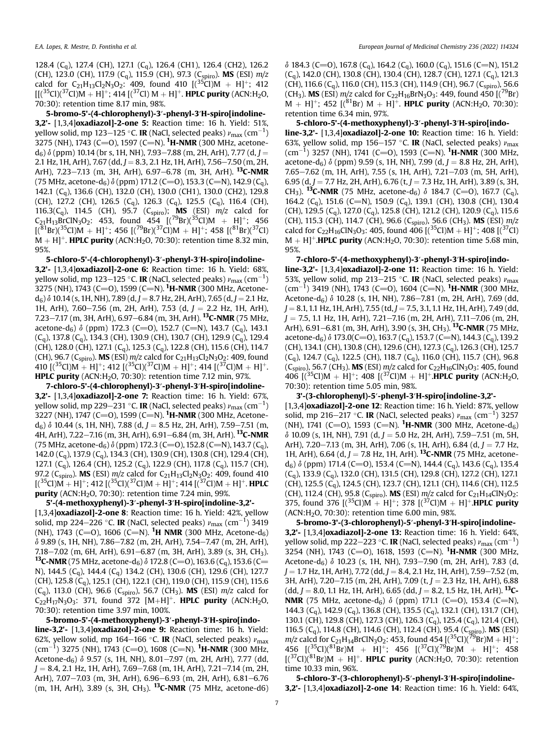128.4 (Cq), 127.4 (CH), 127.1 (Cq), 126.4 (CH1), 126.4 (CH2), 126.2 (CH), 123.0 (CH), 117.9 (C<sub>q</sub>), 115.9 (CH), 97.3 (C<sub>spiro</sub>). **MS** (ESI)  $m/z$ calcd for C<sub>21</sub>H<sub>13</sub>Cl<sub>2</sub>N<sub>3</sub>O<sub>2</sub>: 409, found 410  $[(35)$ Cl<sub>1</sub>M + H<sub>1</sub><sup>+</sup>; 412  $[[({}^{35}Cl)(^{37}Cl)M + H]^{+}$ ; 414  $[({}^{37}Cl)M + H]^{+}$ . HPLC purity (ACN:H<sub>2</sub>O, 70:30): retention time 8.17 min, 98%.

5-bromo-5'-(4-chlorophenyl)-3′-phenyl-3′H-spiro[indoline-3,2'- [1,3,4]oxadiazol]-2-one 5: Reaction time: 16 h. Yield: 51%, yellow solid, mp 123–125 °C. **IR** (NaCl, selected peaks)  $\nu_{\text{max}}\,(\text{cm}^{-1})$ 3275 (NH), 1743 (C=O), 1597 (C=N). <sup>1</sup>**H-NMR** (300 MHz, acetone $d_6$ )  $\delta$  (ppm) 10.14 (br s, 1H, NH), 7.93–7.88 (m, 2H, ArH), 7.77 (d, J = 2.1 Hz, 1H, ArH), 7.67 (dd,  $J = 8.3$ , 2.1 Hz, 1H, ArH), 7.56-7.50 (m, 2H, ArH), 7.23-7.13 (m, 3H, ArH), 6.97-6.78 (m, 3H, ArH). <sup>13</sup>C-NMR (75 MHz, acetone-d<sub>6</sub>)  $\delta$  (ppm) 171.2 (C=O), 153.3 (C=N), 142.9 (C<sub>a</sub>), 142.1 (Cq), 136.6 (CH), 132.0 (CH), 130.0 (CH1), 130.0 (CH2), 129.8 (CH), 127.2 (CH), 126.5 (C<sub>q</sub>), 126.3 (C<sub>q</sub>), 125.5 (C<sub>q</sub>), 116.4 (CH), 116.3(C<sub>q</sub>), 114.5 (CH), 95.7 (C<sub>spiro</sub>); **MS** (ESI)  $m/z$  calcd for  $C_{21}H_{13}BrClN_3O_2$ : 453, found 454  $[(^{79}Br)(^{35}Cl)M + H]$ <sup>+</sup>; 456  $[(<sup>81</sup>Br)(<sup>35</sup>Cl)M + H]<sup>+</sup>; 456 [(<sup>79</sup>Br)(<sup>37</sup>Cl)M + H]<sup>+</sup>; 458 [(<sup>81</sup>Br)(<sup>37</sup>Cl)$  $M + H$ <sup>+</sup>. **HPLC purity** (ACN:H<sub>2</sub>O, 70:30): retention time 8.32 min, 95%.

5-chloro-5'-(4-chlorophenyl)-3′-phenyl-3′H-spiro[indoline-3,2'- [1,3,4]oxadiazol]-2-one 6: Reaction time: 16 h. Yield: 68%, yellow solid, mp 123–125 °C. **IR** (NaCl, selected peaks)  $\nu_{\text{max}}\,(\text{cm}^{-1})$ 3275 (NH), 1743 (C=O), 1599 (C=N). <sup>1</sup>**H-NMR** (300 MHz, Acetone $d_6$ )  $\delta$  10.14 (s, 1H, NH), 7.89 (d, J = 8.7 Hz, 2H, ArH), 7.65 (d, J = 2.1 Hz, 1H, ArH), 7.60-7.56 (m, 2H, ArH), 7.53 (d,  $J = 2.2$  Hz, 1H, ArH), 7.23-7.17 (m, 3H, ArH), 6.97-6.84 (m, 3H, ArH). <sup>13</sup>C-NMR (75 MHz, acetone-d<sub>6</sub>)  $\delta$  (ppm) 172.3 (C=O), 152.7 (C=N), 143.7 (C<sub>a</sub>), 143.1  $(C_q)$ , 137.8  $(C_q)$ , 134.3 (CH), 130.9 (CH), 130.7 (CH), 129.9  $(C_q)$ , 129.4 (CH), 128.0 (CH), 127.1 (C<sub>q</sub>), 125.3 (C<sub>q</sub>), 122.8 (CH), 115.6 (CH), 114.7 (CH), 96.7 (C<sub>spiro</sub>). **MS** (ESI)  $m/z$  calcd for C<sub>21</sub>H<sub>13</sub>Cl<sub>2</sub>N<sub>3</sub>O<sub>2</sub>: 409, found 410  $[(35)$ Cl)M + H]<sup>+</sup>; 412  $[(35)$ Cl)( $(37)$ Cl)M + H]<sup>+</sup>; 414  $[(37)$ Cl)M + H]<sup>+</sup>. HPLC purity (ACN: $H<sub>2</sub>$ O, 70:30): retention time 7.12 min, 97%.

7-chloro-5'-(4-chlorophenyl)-3′-phenyl-3′H-spiro[indoline-3,2'- [1,3,4]oxadiazol]-2-one 7: Reaction time: 16 h. Yield: 67%, yellow solid, mp 229–231 °C. **IR** (NaCl, selected peaks)  $\nu_{\text{max}}\,(\text{cm}^{-1})$ 3227 (NH), 1747 (C=O), 1599 (C=N). <sup>1</sup>**H-NMR** (300 MHz, Acetone $d_6$ )  $\delta$  10.44 (s, 1H, NH), 7.88 (d, J = 8.5 Hz, 2H, ArH), 7.59–7.51 (m, 4H, ArH), 7.22-7.16 (m, 3H, ArH), 6.91-6.84 (m, 3H, ArH). <sup>13</sup>C-NMR (75 MHz, acetone-d<sub>6</sub>)  $\delta$  (ppm) 172.3 (C=O), 152.8 (C=N), 143.7 (C<sub>a</sub>), 142.0 (Cq), 137.9 (Cq), 134.3 (CH), 130.9 (CH), 130.8 (CH), 129.4 (CH), 127.1 (Cq), 126.4 (CH), 125.2 (Cq), 122.9 (CH), 117.8 (Cq), 115.7 (CH), 97.2 (C<sub>spiro</sub>). **MS** (ESI)  $m/z$  calcd for C<sub>21</sub>H<sub>13</sub>Cl<sub>2</sub>N<sub>3</sub>O<sub>2</sub>: 409, found 410  $[(35C)$ M + H]<sup>+</sup>; 412  $[(35C)$  $(37C)$ M + H]<sup>+</sup>; 414  $[(37C)$ M + H]<sup>+</sup>. **HPLC** purity (ACN: $H<sub>2</sub>$ O, 70:30): retention time 7.24 min, 99%.

5'-(4-methoxyphenyl)-3′-phenyl-3′H-spiro[indoline-3,2'- [1,3,4]oxadiazol]-2-one 8: Reaction time: 16 h. Yield: 42%, yellow solid, mp 224–226 °C. **IR** (NaCl, selected peaks)  $\nu_{\text{max}}$  (cm $^{-1}$ ) 3419 (NH), 1743 (C $=$ O), 1606 (C $=$ N).  $^1$ **H NMR** (300 MHz, Acetone-d<sub>6</sub>)  $\delta$  9.89 (s, 1H, NH), 7.86-7.82 (m, 2H, ArH), 7.54-7.47 (m, 2H, ArH), 7.18-7.02 (m, 6H, ArH), 6.91-6.87 (m, 3H, ArH), 3.89 (s, 3H, CH<sub>3</sub>).  $13$ C-NMR (75 MHz, acetone-d<sub>6</sub>)  $\delta$  172.8 (C=O), 163.6 (C<sub>q</sub>), 153.6 (C= N), 144.5 (Cq), 144.4 (Cq) 134.2 (CH), 130.6 (CH), 129.6 (CH), 127.7 (CH), 125.8 (C<sub>q</sub>), 125.1 (CH), 122.1 (CH), 119.0 (CH), 115.9 (CH), 115.6  $(C_q)$ , 113.0 (CH), 96.6 ( $C_{spiro}$ ), 56.7 (CH<sub>3</sub>). **MS** (ESI)  $m/z$  calcd for  $C_{22}H_{17}N_3O_3$ : 371, found 372  $[M+H]^+$ . **HPLC purity** (ACN:H<sub>2</sub>O, 70:30): retention time 3.97 min, 100%.

5-bromo-5'-(4-methoxyphenyl)-3′-phenyl-3′H-spiro[indoline-3,2'- [1,3,4]oxadiazol]-2-one 9: Reaction time: 16 h. Yield: 62%, yellow solid, mp 164–166 °C. IR (NaCl, selected peaks)  $v_{\rm max}$ (cm<sup>-1</sup>) 3275 (NH), 1743 (C=O), 1608 (C=N). <sup>1</sup>**H-NMR** (300 MHz, Acetone-d<sub>6</sub>)  $\delta$  9.57 (s, 1H, NH), 8.01-7.97 (m, 2H, ArH), 7.77 (dd,  $J = 8.4$ , 2.1 Hz, 1H, ArH), 7.69–7.68 (m, 1H, ArH), 7.21–7.14 (m, 2H, ArH), 7.07-7.03 (m, 3H, ArH), 6.96-6.93 (m, 2H, ArH), 6.81-6.76  $(m, 1H, ArH)$ , 3.89 (s, 3H, CH<sub>3</sub>). <sup>13</sup>C-NMR (75 MHz, acetone-d6)  $\delta$  184.3 (C=O), 167.8 (C<sub>q</sub>), 164.2 (C<sub>q</sub>), 160.0 (C<sub>q</sub>), 151.6 (C=N), 151.2  $(C_q)$ , 142.0 (CH), 130.8 (CH), 130.4 (CH), 128.7 (CH), 127.1  $(C_q)$ , 121.3 (CH), 116.6 (C<sub>a</sub>), 116.0 (CH), 115.3 (CH), 114.9 (CH), 96.7 (C<sub>spiro</sub>), 56.6 (CH<sub>3</sub>). **MS** (ESI)  $m/z$  calcd for C<sub>22</sub>H<sub>16</sub>BrN<sub>3</sub>O<sub>3</sub>: 449, found 450 [(<sup>79</sup>Br)  $M + H$ ]<sup>+</sup>; 452 [(<sup>81</sup>Br) M + H]<sup>+</sup>. **HPLC purity** (ACN:H<sub>2</sub>O, 70:30): retention time 6.34 min, 97%.

5-chloro-5'-(4-methoxyphenyl)-3′-phenyl-3′H-spiro[indoline-3,2'- [1,3,4]oxadiazol]-2-one 10: Reaction time: 16 h. Yield: 63%, yellow solid, mp 156-157 °C. IR (NaCl, selected peaks)  $v_{\text{max}}$  $\rm (cm^{-1})$  3257 (NH), 1741 (C=O), 1593 (C=N). <sup>1</sup>H-NMR (300 MHz, acetone-d<sub>6</sub>)  $\delta$  (ppm) 9.59 (s, 1H, NH), 7.99 (d, J = 8.8 Hz, 2H, ArH),  $7.65 - 7.62$  (m, 1H, ArH), 7.55 (s, 1H, ArH), 7.21-7.03 (m, 5H, ArH), 6.95 (d, J = 7.7 Hz, 2H, ArH), 6.76 (t, J = 7.3 Hz, 1H, ArH), 3.89 (s, 3H, CH<sub>3</sub>). <sup>13</sup>C-NMR (75 MHz, acetone-d<sub>6</sub>)  $\delta$  184.7 (C=O), 167.7 (C<sub>q</sub>), 164.2 (C<sub>a</sub>), 151.6 (C=N), 150.9 (C<sub>a</sub>), 139.1 (CH), 130.8 (CH), 130.4 (CH), 129.5 (C<sub>a</sub>), 127.0 (C<sub>a</sub>), 125.8 (CH), 121.2 (CH), 120.9 (C<sub>a</sub>), 115.6 (CH), 115.3 (CH), 114.7 (CH), 96.6 (C<sub>spiro</sub>), 56.6 (CH<sub>3</sub>). **MS** (ESI)  $m/z$ calcd for C<sub>22</sub>H<sub>16</sub>ClN<sub>3</sub>O<sub>3</sub>: 405, found 406  $\left[\frac{^{35}C}{^{36}C}\right](10^{37}C)$  $M + H$ <sup>+</sup>.HPLC purity (ACN:H<sub>2</sub>O, 70:30): retention time 5.68 min, 95%.

7-chloro-5'-(4-methoxyphenyl)-3′-phenyl-3′H-spiro[indoline-3,2'- [1,3,4]oxadiazol]-2-one 11: Reaction time: 16 h. Yield: 53%, yellow solid, mp 213–215 °C. IR (NaCl, selected peaks)  $v_{\text{max}}$  $\rm (cm^{-1})$  3419 (NH), 1743 (C=O), 1604 (C=N). <sup>1</sup>H-NMR (300 MHz, Acetone-d<sub>6</sub>)  $\delta$  10.28 (s, 1H, NH), 7.86-7.81 (m, 2H, ArH), 7.69 (dd,  $J = 8.1, 1.1$  Hz, 1H, ArH), 7.55 (td,  $J = 7.5, 3.1, 1.1$  Hz, 1H, ArH), 7.49 (dd,  $J = 7.5$ , 1.1 Hz, 1H, ArH), 7.21-7.16 (m, 2H, ArH), 7.11-7.06 (m, 2H, ArH), 6.91-6.81 (m, 3H, ArH), 3.90 (s, 3H, CH<sub>3</sub>). <sup>13</sup>C-NMR (75 MHz, acetone-d<sub>6</sub>)  $\delta$  173.0(C=O), 163.7 (C<sub>q</sub>), 153.7 (C=N), 144.3 (C<sub>q</sub>), 139.2 (CH), 134.1 (CH), 130.8 (CH), 129.6 (CH), 127.3 (Cq), 126.3 (CH), 125.7  $(C_q)$ , 124.7  $(C_q)$ , 122.5 (CH), 118.7  $(C_q)$ , 116.0 (CH), 115.7 (CH), 96.8 (C<sub>spiro</sub>), 56.7 (CH<sub>3</sub>). **MS** (ESI)  $m/z$  calcd for C<sub>22</sub>H<sub>16</sub>ClN<sub>3</sub>O<sub>3</sub>: 405, found 406  $[(35C)M + H]^+$ ; 408  $[(37C)M + H]^+$ . HPLC purity (ACN:H<sub>2</sub>O, 70:30): retention time 5.05 min, 98%.

3'-(3-chlorophenyl)-5′-phenyl-3′H-spiro[indoline-3,2'-

 $[1,3,4]$ oxadiazol]-2-one 12: Reaction time: 16 h. Yield: 87%, yellow solid, mp 216–217 °C. **IR** (NaCl, selected peaks)  $\nu_{\text{max}}$  (cm<sup>-1</sup>) 3257 (NH), 1741 (C=O), 1593 (C=N). <sup>1</sup>H-NMR (300 MHz, Acetone-d<sub>6</sub>)  $\delta$  10.09 (s, 1H, NH), 7.91 (d, J = 5.0 Hz, 2H, ArH), 7.59–7.51 (m, 5H, ArH), 7.20–7.13 (m, 3H, ArH), 7.06 (s, 1H, ArH), 6.84 (d,  $J = 7.7$  Hz, 1H, ArH), 6.64 (d, J = 7.8 Hz, 1H, ArH). <sup>13</sup>C-NMR (75 MHz, acetoned<sub>6</sub>)  $\delta$  (ppm) 171.4 (C=O), 153.4 (C=N), 144.4 (C<sub>q</sub>), 143.6 (C<sub>q</sub>), 135.4  $(C_q)$ , 133.9  $(C_q)$ , 132.0 (CH), 131.5 (CH), 129.8 (CH), 127.2 (CH), 127.1 (CH), 125.5 (C<sub>a</sub>), 124.5 (CH), 123.7 (CH), 121.1 (CH), 114.6 (CH), 112.5 (CH), 112.4 (CH), 95.8 (C<sub>spiro</sub>). **MS** (ESI)  $m/z$  calcd for C<sub>21</sub>H<sub>14</sub>ClN<sub>3</sub>O<sub>2</sub>: 375, found 376  $[(35C1)M + H]^+$ ; 378  $[(37C1)M + H]^+$ **.HPLC purity** (ACN:H2O, 70:30): retention time 6.00 min, 98%.

5-bromo-3'-(3-chlorophenyl)-5′-phenyl-3′H-spiro[indoline-3,2'- [1,3,4]oxadiazol]-2-one 13: Reaction time: 16 h. Yield: 64%, yellow solid, mp 222–223 °C. **IR** (NaCl, selected peaks)  $\nu_{\text{max}}$  (cm $^{-1}$ ) 3254 (NH), 1743 (C=O), 1618, 1593 (C=N). <sup>1</sup>H-NMR (300 MHz, Acetone-d<sub>6</sub>)  $\delta$  10.23 (s, 1H, NH), 7.93-7.90 (m, 2H, ArH), 7.83 (d,  $J = 1.7$  Hz, 1H, ArH), 7.72 (dd,  $J = 8.4$ , 2.1 Hz, 1H, ArH), 7.59–7.52 (m, 3H, ArH), 7.20-7.15 (m, 2H, ArH), 7.09 (t,  $J = 2.3$  Hz, 1H, ArH), 6.88  $(dd, J = 8.0, 1.1$  Hz, 1H, ArH), 6.65 (dd,  $J = 8.2, 1.5$  Hz, 1H, ArH). <sup>13</sup>C-**NMR** (75 MHz, acetone-d<sub>6</sub>)  $\delta$  (ppm) 171.1 (C=O), 153.4 (C=N), 144.3  $(C_a)$ , 142.9  $(C_a)$ , 136.8  $(CH)$ , 135.5  $(C_a)$ , 132.1  $(CH)$ , 131.7  $(CH)$ , 130.1 (CH), 129.8 (CH), 127.3 (CH), 126.3 (C<sub>q</sub>), 125.4 (C<sub>q</sub>), 121.4 (CH), 116.5  $(C_q)$ , 114.8 (CH), 114.6 (CH), 112.4 (CH), 95.4  $(C_{\text{sbiro}})$ . MS (ESI)  $m/z$  calcd for C<sub>21</sub>H<sub>14</sub>BrClN<sub>3</sub>O<sub>2</sub>: 453, found 454  $[(35C)(79Br)M + H]$ ; 456  $[(35)C](81)Br(M + H)^+$ ; 456  $[(37)C](79)Br(M + H)^+$ ; 458  $[(37)C](81)Br(M + H)^+$ . **HPLC purity** (ACN:H<sub>2</sub>O, 70:30): retention time 10.33 min, 96%.

5-chloro-3'-(3-chlorophenyl)-5′-phenyl-3′H-spiro[indoline-3,2'- [1,3,4]oxadiazol]-2-one 14: Reaction time: 16 h. Yield: 64%,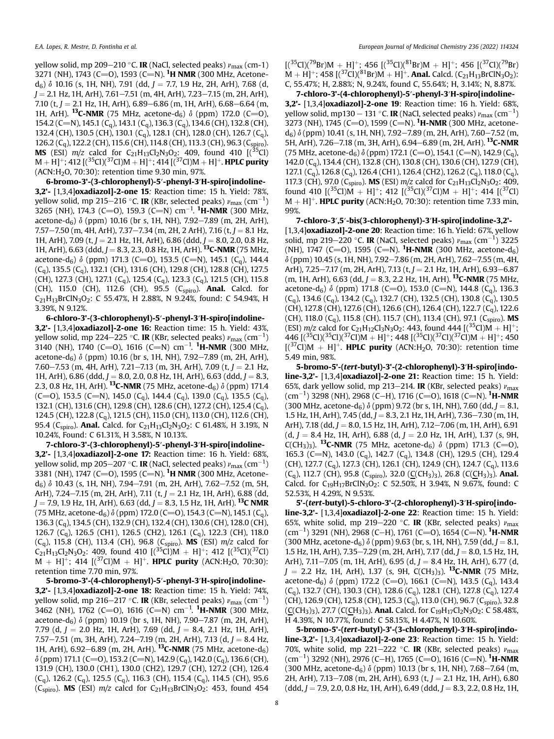yellow solid, mp 209–210 °C. IR (NaCl, selected peaks)  $\nu_{\mathrm{max}}$  (cm-1) 3271 (NH), 1743 (C=O), 1593 (C=N). <sup>1</sup>**H NMR** (300 MHz, Acetone $d_6$ )  $\delta$  10.16 (s, 1H, NH), 7.91 (dd, J = 7.7, 1.9 Hz, 2H, ArH), 7.68 (d,  $J = 2.1$  Hz, 1H, ArH), 7.61-7.51 (m, 4H, ArH), 7.23-7.15 (m, 2H, ArH), 7.10 (t,  $J = 2.1$  Hz, 1H, ArH), 6.89–6.86 (m, 1H, ArH), 6.68–6.64 (m, 1H, ArH). <sup>13</sup>C-NMR (75 MHz, acetone-d<sub>6</sub>)  $\delta$  (ppm) 172.0 (C=O), 154.2 (C=N), 145.1 (C<sub>a</sub>), 143.1 (C<sub>a</sub>), 136.3 (C<sub>a</sub>), 134.6 (CH), 132.8 (CH), 132.4 (CH), 130.5 (CH), 130.1 (Cq), 128.1 (CH), 128.0 (CH), 126.7 (Cq), 126.2 (C<sub>q</sub>), 122.2 (CH), 115.6 (CH), 114.8 (CH), 113.3 (CH), 96.3 (C<sub>spiro</sub>). **MS** (ESI)  $m/z$  calcd for C<sub>21</sub>H<sub>13</sub>Cl<sub>2</sub>N<sub>3</sub>O<sub>2</sub>: 409, found 410 [(<sup>35</sup>Cl)  $M + H$ <sup>+</sup>; 412 [(<sup>35</sup>Cl)(<sup>37</sup>Cl)M + H]<sup>+</sup>; 414 [(<sup>37</sup>Cl)M + H]<sup>+</sup>. **HPLC purity** (ACN:H2O, 70:30): retention time 9.30 min, 97%.

6-bromo-3'-(3-chlorophenyl)-5′-phenyl-3′H-spiro[indoline-3,2'- [1,3,4]oxadiazol]-2-one 15: Reaction time: 15 h. Yield: 78%, yellow solid, mp 215–216 °C. **IR** (KBr, selected peaks)  $\nu_{\text{max}}$  (cm $^{-1}$ ) 3265 (NH), 174.3 (C=O), 159.3 (C=N) cm<sup>-1</sup>. <sup>1</sup>**H-NMR** (300 MHz, acetone-d<sub>6</sub>)  $\delta$  (ppm) 10.16 (br s, 1H, NH), 7.92–7.89 (m, 2H, ArH), 7.57–7.50 (m, 4H, ArH), 7.37–7.34 (m, 2H, 2 ArH), 7.16 (t,  $J = 8.1$  Hz, 1H, ArH), 7.09 (t,  $J = 2.1$  Hz, 1H, ArH), 6.86 (ddd,  $J = 8.0$ , 2.0, 0.8 Hz, 1H, ArH), 6.63 (ddd, J = 8.3, 2.3, 0.8 Hz, 1H, ArH). <sup>13</sup>C-NMR (75 MHz, acetone-d<sub>6</sub>)  $\delta$  (ppm) 171.3 (C=O), 153.5 (C=N), 145.1 (C<sub>q</sub>), 144.4  $(C_q)$ , 135.5  $(C_q)$ , 132.1 (CH), 131.6 (CH), 129.8 (CH), 128.8 (CH), 127.5 (CH), 127.3 (CH), 127.1 (C<sub>q</sub>), 125.4 (C<sub>q</sub>), 123.3 (C<sub>q</sub>), 121.5 (CH), 115.8 (CH), 115.0 (CH), 112.6 (CH), 95.5 ( $C_{\text{spiro}}$ ). **Anal.** Calcd. for  $C_{21}H_{13}BrClN_3O_2$ : C 55.47%, H 2.88%, N 9.24%, found: C 54.94%, H 3.39%, N 9.12%.

6-chloro-3'-(3-chlorophenyl)-5′-phenyl-3′H-spiro[indoline-3,2'- [1,3,4]oxadiazol]-2-one 16: Reaction time: 15 h. Yield: 43%, yellow solid, mp 224–225 °C. **IR** (KBr, selected peaks)  $\nu_{\text{max}}$  (cm $^{-1}$ ) 3140 (NH), 1740 (C=O), 1616 (C=N) cm $^{-1}$ .  $^1$ **H-NMR** (300 MHz, acetone-d<sub>6</sub>)  $\delta$  (ppm) 10.16 (br s, 1H, NH), 7.92–7.89 (m, 2H, ArH), 7.60–7.53 (m, 4H, ArH), 7.21–7.13 (m, 3H, ArH), 7.09 (t,  $J = 2.1$  Hz, 1H, ArH),  $6.86$  (ddd,  $J = 8.0$ , 2.0, 0.8 Hz, 1H, ArH), 6.63 (ddd,  $J = 8.3$ , 2.3, 0.8 Hz, 1H, ArH). <sup>13</sup>C-NMR (75 MHz, acetone-d<sub>6</sub>)  $\delta$  (ppm) 171.4 (C=O), 153.5 (C=N), 145.0 (C<sub>a</sub>), 144.4 (C<sub>a</sub>), 139.0 (C<sub>a</sub>), 135.5 (C<sub>a</sub>), 132.1 (CH), 131.6 (CH), 129.8 (CH), 128.6 (CH), 127.2 (CH), 125.4 (Cq), 124.5 (CH), 122.8 (C<sub>a</sub>), 121.5 (CH), 115.0 (CH), 113.0 (CH), 112.6 (CH), 95.4 (C<sub>spiro</sub>). **Anal.** Calcd. for C<sub>21</sub>H<sub>13</sub>Cl<sub>2</sub>N<sub>3</sub>O<sub>2</sub>: C 61.48%, H 3.19%, N 10.24%, Found: C 61.31%, H 3.58%, N 10.13%.

7-chloro-3'-(3-chlorophenyl)-5′-phenyl-3′H-spiro[indoline-3,2'- [1,3,4]oxadiazol]-2-one 17: Reaction time: 16 h. Yield: 68%, yellow solid, mp 205—207 °C. **IR** (NaCl, selected peaks)  $\nu_{\text{max}}\,(\text{cm}^{-1})$ 3381 (NH), 1747 (C=O), 1595 (C=N). <sup>1</sup>**H NMR** (300 MHz, Acetone $d_6$ )  $\delta$  10.43 (s, 1H, NH), 7.94-7.91 (m, 2H, ArH), 7.62-7.52 (m, 5H, ArH), 7.24-7.15 (m, 2H, ArH), 7.11 (t,  $J = 2.1$  Hz, 1H, ArH), 6.88 (dd,  $J = 7.9$ , 1.9 Hz, 1H, ArH), 6.63 (dd,  $J = 8.3$ , 1.5 Hz, 1H, ArH). <sup>13</sup>C NMR (75 MHz, acetone-d<sub>6</sub>)  $\delta$  (ppm) 172.0 (C=O), 154.3 (C=N), 145.1 (C<sub>q</sub>), 136.3 (Cq), 134.5 (CH), 132.9 (CH), 132.4 (CH), 130.6 (CH), 128.0 (CH), 126.7 (Cq), 126.5 (CH1), 126.5 (CH2), 126.1 (Cq), 122.3 (CH), 118.0  $(C_q)$ , 115.8 (CH), 113.4 (CH), 96.8 ( $C_{\text{spiro}}$ ). **MS** (ESI)  $m/z$  calcd for  $C_{21}H_{13}Cl_2N_3O_2$ : 409, found 410  $[({}^{35}Cl)M + H]^+$ ; 412  $[({}^{35}Cl)({}^{37}Cl)$  $M + H$ ]<sup>+</sup>; 414 [(<sup>37</sup>Cl)M + H]<sup>+</sup>. **HPLC purity** (ACN:H<sub>2</sub>O, 70:30): retention time 7.70 min, 97%.

5-bromo-3'-(4-chlorophenyl)-5′-phenyl-3′H-spiro[indoline-3,2'- [1,3,4]oxadiazol]-2-one 18: Reaction time: 15 h. Yield: 74%, yellow solid, mp 216–217 °C. **IR** (KBr, selected peaks)  $\nu_{\text{max}}$  (cm $^{-1}$ ) 3462 (NH), 1762 (C=O), 1616 (C=N) cm<sup>-1</sup>. <sup>1</sup>**H-NMR** (300 MHz, acetone-d<sub>6</sub>)  $\delta$  (ppm) 10.19 (br s, 1H, NH), 7.90–7.87 (m, 2H, ArH), 7.79 (d,  $J = 2.0$  Hz, 1H, ArH), 7.69 (dd,  $J = 8.4$ , 2.1 Hz, 1H, ArH), 7.57-7.51 (m, 3H, ArH), 7.24-7.19 (m, 2H, ArH), 7.13 (d,  $J = 8.4$  Hz, 1H, ArH), 6.92-6.89 (m, 2H, ArH). <sup>13</sup>C-NMR (75 MHz, acetone-d<sub>6</sub>)  $\delta$  (ppm) 171.1 (C=O), 153.2 (C=N), 142.9 (C<sub>q</sub>), 142.0 (C<sub>q</sub>), 136.6 (CH), 131.9 (CH), 130.0 (CH1), 130.0 (CH2), 129.7 (CH), 127.2 (CH), 126.4  $(C_q)$ , 126.2  $(C_q)$ , 125.5  $(C_q)$ , 116.3 (CH), 115.4  $(C_q)$ , 114.5 (CH), 95.6 (C<sub>spiro</sub>). **MS** (ESI)  $m/z$  calcd for C<sub>21</sub>H<sub>13</sub>BrClN<sub>3</sub>O<sub>2</sub>: 453, found 454  $[(35Cl)(79Br)M + H]^+$ ; 456  $[(35Cl)(81Br)M + H]^+$ ; 456  $[(37Cl)(79Br)$  $M + H$ ]<sup>+</sup>; 458 [(<sup>37</sup>Cl)(<sup>81</sup>Br)M + H]<sup>+</sup>. **Anal.** Calcd. (C<sub>21</sub>H<sub>13</sub>BrClN<sub>3</sub>O<sub>2</sub>): C, 55.47%; H, 2.88%; N, 9.24%, found C, 55.64%; H, 3.14%; N, 8.87%.

7-chloro-3'-(4-chlorophenyl)-5′-phenyl-3′H-spiro[indoline-3,2'- [1,3,4]oxadiazol]-2-one 19: Reaction time: 16 h. Yield: 68%, yellow solid, mp130 – 131 °C. **IR** (NaCl, selected peaks)  $\nu_{\text{max}}$  (cm $^{-1}$ ) 3273 (NH), 1745 (C=O), 1599 (C=N). <sup>1</sup>H-NMR (300 MHz, acetone $d_6$ )  $\delta$  (ppm) 10.41 (s, 1H, NH), 7.92–7.89 (m, 2H, ArH), 7.60–7.52 (m, 5H, ArH), 7.26-7.18 (m, 3H, ArH), 6.94-6.89 (m, 2H, ArH). <sup>13</sup>C-NMR (75 MHz, acetone-d<sub>6</sub>)  $\delta$  (ppm) 172.1 (C=O), 154.1 (C=N), 142.9 (C<sub>q</sub>), 142.0 (Cq), 134.4 (CH), 132.8 (CH), 130.8 (CH), 130.6 (CH), 127.9 (CH), 127.1  $(C_q)$ , 126.8  $(C_q)$ , 126.4 (CH1), 126.4 (CH2), 126.2  $(C_q)$ , 118.0  $(C_q)$ , 117.3 (CH), 97.0 (C<sub>spiro</sub>). **MS** (ESI)  $m/z$  calcd for C<sub>21</sub>H<sub>13</sub>Cl<sub>2</sub>N<sub>3</sub>O<sub>2</sub>: 409, found 410  $[(35)$ Cl)M + H|<sup>+</sup>; 412  $[(35)$ Cl)( $(37)$ Cl)M + H|<sup>+</sup>; 414  $[(37)$ Cl)  $M + H$ <sup>+</sup>. **HPLC purity** (ACN:H<sub>2</sub>O, 70:30): retention time 7.33 min, 99%.

7-chloro-3′,5′-bis(3-chlorophenyl)-3′H-spiro[indoline-3,2'- [1,3,4]**oxadiazol]-2-one 20**: Reaction time: 16 h. Yield: 67%, yellow solid, mp 219–220 °C. **IR** (NaCl, selected peaks)  $\nu_{\text{max}}$  (cm<sup>-1</sup>) 3225 (NH), 1747 (C=O), 1595 (C=N). <sup>1</sup>H-NMR (300 MHz, acetone-d<sub>6</sub>)  $\delta$  (ppm) 10.45 (s, 1H, NH), 7.92–7.86 (m, 2H, ArH), 7.62–7.55 (m, 4H, ArH), 7.25-7.17 (m, 2H, ArH), 7.13 (t,  $J = 2.1$  Hz, 1H, ArH), 6.93-6.87 (m, 1H, ArH), 6.63 (dd,  $J = 8.3$ , 2.2 Hz, 1H, ArH). <sup>13</sup>C-NMR (75 MHz, acetone-d<sub>6</sub>)  $\delta$  (ppm) 171.8 (C=O), 153.0 (C=N), 144.8 (C<sub>a</sub>), 136.3  $(C_q)$ , 134.6  $(C_q)$ , 134.2  $(C_q)$ , 132.7 (CH), 132.5 (CH), 130.8  $(C_q)$ , 130.5 (CH), 127.8 (CH), 127.6 (CH), 126.6 (CH), 126.4 (CH), 122.7 (C<sub>q</sub>), 122.6 (CH), 118.0 (C<sub>q</sub>), 115.8 (CH). 115.7 (CH), 113.4 (CH), 97.1 (C<sub>spiro</sub>). MS (ESI)  $m/z$  calcd for C<sub>21</sub>H<sub>12</sub>Cl<sub>3</sub>N<sub>3</sub>O<sub>2</sub>: 443, found 444 [(<sup>35</sup>Cl)M + H]<sup>+</sup>; 446  $[(35Cl)(35Cl)(37Cl)M + H]^+$ ; 448  $[(35Cl)(37Cl)(37Cl)M + H]^+$ ; 450  $[(37)$ Cl)M + H]<sup>+</sup>. **HPLC purity** (ACN:H<sub>2</sub>O, 70:30): retention time 5.49 min, 98%.

5-bromo-5'-(tert-butyl)-3'-(2-chlorophenyl)-3′H-spiro[indoline-3,2'- [1,3,4]oxadiazol]-2-one 21: Reaction time: 15 h. Yield: 65%, dark yellow solid, mp 213–214. IR (KBr, selected peaks)  $v_{\text{max}}$  $\rm (cm^{-1})$  3298 (NH), 2968 (C-H), 1716 (C=O), 1618 (C=N). <sup>1</sup>H-NMR (300 MHz, acetone-d<sub>6</sub>)  $\delta$  (ppm) 9.72 (br s, 1H, NH), 7.60 (dd, J = 8.1, 1.5 Hz, 1H, ArH), 7.45 (dd,  $I = 8.3$ , 2.1 Hz, 1H, ArH), 7.36–7.30 (m, 1H, ArH), 7.18 (dd,  $J = 8.0$ , 1.5 Hz, 1H, ArH), 7.12–7.06 (m, 1H, ArH), 6.91  $(d, J = 8.4$  Hz, 1H, ArH), 6.88  $(d, J = 2.0$  Hz, 1H, ArH), 1.37 (s, 9H, C(CH<sub>3</sub>)<sub>3</sub>). <sup>13</sup>C-NMR (75 MHz, acetone-d<sub>6</sub>)  $\delta$  (ppm) 171.3 (C=O), 165.3 (C=N), 143.0 (C<sub>q</sub>), 142.7 (C<sub>q</sub>), 134.8 (CH), 129.5 (CH), 129.4 (CH), 127.7 (C<sub>a</sub>), 127.3 (CH), 126.1 (CH), 124.9 (CH), 124.7 (C<sub>a</sub>), 113.6  $(C_q)$ , 112.7 (CH), 95.8 ( $C_{spiro}$ ), 32.0 ( $C(CH_3)_3$ ), 26.8 (C( $CH_3)_3$ ). Anal. Calcd. for C<sub>19</sub>H<sub>17</sub>BrClN<sub>3</sub>O<sub>2</sub>: C 52.50%, H 3.94%, N 9.67%, found: C 52.53%, H 4.29%, N 9.53%.

5'-(tert-butyl)-5-chloro-3'-(2-chlorophenyl)-3′H-spiro[indoline-3,2'- [1,3,4]oxadiazol]-2-one 22: Reaction time: 15 h. Yield: 65%, white solid, mp 219-220 °C. IR (KBr, selected peaks)  $v_{\text{max}}$  $\text{(cm}^{-1})$  3291 (NH), 2968 (C-H), 1761 (C=O), 1654 (C=N). <sup>1</sup>H-NMR (300 MHz, acetone-d<sub>6</sub>)  $\delta$  (ppm) 9.63 (br, s, 1H, NH), 7.59 (dd, J = 8.1, 1.5 Hz, 1H, ArH), 7.35-7.29 (m, 2H, ArH), 7.17 (dd,  $J = 8.0$ , 1.5 Hz, 1H, ArH), 7.11-7.05 (m, 1H, ArH), 6.95 (d,  $J = 8.4$  Hz, 1H, ArH), 6.77 (d,  $J = 2.2$  Hz, 1H, ArH), 1.37 (s, 9H, C(CH<sub>3</sub>)<sub>3</sub>). <sup>13</sup>C-NMR (75 MHz, acetone-d<sub>6</sub>)  $\delta$  (ppm) 172.2 (C=O), 166.1 (C=N), 143.5 (C<sub>q</sub>), 143.4  $(C_q)$ , 132.7 (CH), 130.3 (CH), 128.6  $(C_q)$ , 128.1 (CH), 127.8  $(C_q)$ , 127.4 (CH), 126.9 (CH), 125.8 (CH), 125.3 (C<sub>q</sub>), 113.0 (CH), 96.7 (C<sub>spiro</sub>), 32.8 (C(CH<sub>3</sub>)<sub>3</sub>), 27.7 (C(CH<sub>3</sub>)<sub>3</sub>). **Anal.** Calcd. for C<sub>19</sub>H<sub>17</sub>Cl<sub>2</sub>N<sub>3</sub>O<sub>2</sub>: C 58.48%, H 4.39%, N 10.77%, found: C 58.15%, H 4.47%, N 10.60%.

5-bromo-5'-(tert-butyl)-3'-(3-chlorophenyl)-3′H-spiro[indoline-3,2'- [1,3,4]oxadiazol]-2-one 23: Reaction time: 15 h. Yield: 70%, white solid, mp 221-222 °C. IR (KBr, selected peaks)  $v_{\text{max}}$  $\rm (cm^{-1})$  3292 (NH), 2976 (C-H), 1765 (C=O), 1616 (C=N). <sup>1</sup>H-NMR (300 MHz, acetone-d<sub>6</sub>)  $\delta$  (ppm) 10.13 (br s, 1H, NH), 7.68-7.64 (m, 2H, ArH), 7.13–7.08 (m, 2H, ArH), 6.93 (t, J = 2.1 Hz, 1H, ArH), 6.80  $(ddd,J = 7.9, 2.0, 0.8$  Hz, 1H, ArH), 6.49 (ddd, J = 8.3, 2.2, 0.8 Hz, 1H,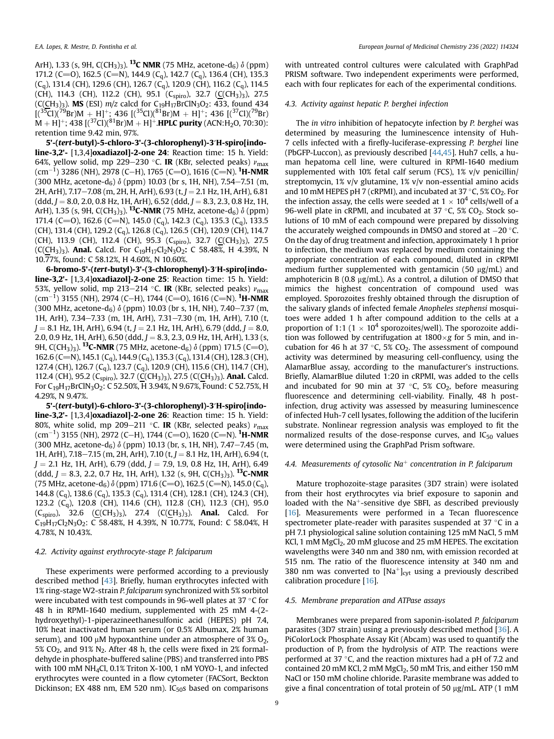ArH), 1.33 (s, 9H, C(CH<sub>3</sub>)<sub>3</sub>). <sup>13</sup>C NMR (75 MHz, acetone-d<sub>6</sub>)  $\delta$  (ppm) 171.2 (C=O), 162.5 (C=N), 144.9 (C<sub>q</sub>), 142.7 (C<sub>q</sub>), 136.4 (CH), 135.3  $(C_q)$ , 131.4 (CH), 129.6 (CH), 126.7  $(C_q)$ , 120.9 (CH), 116.2  $(C_q)$ , 114.5 (CH), 114.3 (CH), 112.2 (CH), 95.1 (C<sub>spiro</sub>), 32.7 (C(CH<sub>3</sub>)<sub>3</sub>), 27.5 (C(CH<sub>3</sub>)<sub>3</sub>). **MS** (ESI)  $m/z$  calcd for C<sub>19</sub>H<sub>17</sub>BrClN<sub>3</sub>O<sub>2</sub>: 433, found 434  $[(35C1)(79Br)M + H]^{+}$ ; 436  $[(35C1)(81Br)M + H]^{+}$ ; 436  $[(37C1)(79Br)$  $M + H$ ]<sup>+</sup>; 438 [(<sup>37</sup>Cl)(<sup>81</sup>Br)M + H]<sup>+</sup>.**HPLC purity** (ACN:H<sub>2</sub>O, 70:30): retention time 9.42 min, 97%.

5'-(tert-butyl)-5-chloro-3'-(3-chlorophenyl)-3′H-spiro[indoline-3,2'- [1,3,4]oxadiazol]-2-one 24: Reaction time: 15 h. Yield: 64%, yellow solid, mp 229–230 °C. IR (KBr, selected peaks)  $v_{\rm max}$ (cm<sup>-1</sup>) 3286 (NH), 2978 (C–H), 1765 (C=O), 1616 (C=N). <sup>1</sup>**H-NMR** (300 MHz, acetone-d<sub>6</sub>)  $\delta$  (ppm) 10.03 (br s, 1H, NH), 7.54-7.51 (m, 2H, ArH), 7.17-7.08 (m, 2H, H, ArH), 6.93 (t, J = 2.1 Hz, 1H, ArH), 6.81  $(ddd, J = 8.0, 2.0, 0.8$  Hz, 1H, ArH), 6.52 (ddd,  $J = 8.3, 2.3, 0.8$  Hz, 1H, ArH), 1.35 (s, 9H, C(CH<sub>3</sub>)<sub>3</sub>). <sup>13</sup>C-NMR (75 MHz, acetone-d<sub>6</sub>)  $\delta$  (ppm) 171.4 (C=O), 162.6 (C=N), 145.0 (C<sub>q</sub>), 142.3 (C<sub>q</sub>), 135.3 (C<sub>q</sub>), 133.5 (CH), 131.4 (CH), 129.2 (C<sub>q</sub>), 126.8 (C<sub>q</sub>), 126.5 (CH), 120.9 (CH), 114.7 (CH), 113.9 (CH), 112.4 (CH), 95.3 (C<sub>spiro</sub>), 32.7 (C(CH<sub>3</sub>)<sub>3</sub>), 27.5 (C(CH<sub>3</sub>)<sub>3</sub>). Anal. Calcd. For C<sub>19</sub>H<sub>17</sub>Cl<sub>2</sub>N<sub>3</sub>O<sub>2</sub>: C 58.48%, H 4.39%, N 10.77%, found: C 58.12%, H 4.60%, N 10.60%.

6-bromo-5'-(tert-butyl)-3'-(3-chlorophenyl)-3′H-spiro[indoline-3,2'- [1,3,4]oxadiazol]-2-one 25: Reaction time: 15 h. Yield: 53%, yellow solid, mp 213–214 °C. IR (KBr, selected peaks)  $v_{\text{max}}$ (cm<sup>-1</sup>) 3155 (NH), 2974 (C–H), 1744 (C=O), 1616 (C=N). <sup>1</sup>**H-NMR** (300 MHz, acetone- $d_6$ )  $\delta$  (ppm) 10.03 (br s, 1H, NH), 7.40–7.37 (m, 1H, ArH), 7.34-7.33 (m, 1H, ArH), 7.31-7.30 (m, 1H, ArH), 7.10 (t,  $J = 8.1$  Hz, 1H, ArH), 6.94 (t,  $J = 2.1$  Hz, 1H, ArH), 6.79 (ddd,  $J = 8.0$ , 2.0, 0.9 Hz, 1H, ArH), 6.50 (ddd,  $J = 8.3$ , 2.3, 0.9 Hz, 1H, ArH), 1.33 (s, 9H,  $C(CH_3)_{3}$ ). <sup>13</sup>C-NMR (75 MHz, acetone-d<sub>6</sub>)  $\delta$  (ppm) 171.5 (C=O), 162.6 (C=N), 145.1 (C<sub>q</sub>), 144.9 (C<sub>q</sub>), 135.3 (C<sub>q</sub>), 131.4 (CH), 128.3 (CH), 127.4 (CH), 126.7 (Cq), 123.7 (Cq), 120.9 (CH), 115.6 (CH), 114.7 (CH), 112.4 (CH), 95.2 (C<sub>spiro</sub>), 32.7 (C(CH<sub>3</sub>)<sub>3</sub>), 27.5 (C(CH<sub>3</sub>)<sub>3</sub>). **Anal.** Calcd. For C19H17BrClN3O2: C 52.50%, H 3.94%, N 9.67%, Found: C 52.75%, H 4.29%, N 9.47%.

5'-(tert-butyl)-6-chloro-3'-(3-chlorophenyl)-3′H-spiro[indoline-3,2'- [1,3,4]oxadiazol]-2-one 26: Reaction time: 15 h. Yield: 80%, white solid, mp 209–211 °C. **IR** (KBr, selected peaks)  $v_{\text{max}}$ (cm<sup>-1</sup>) 3155 (NH), 2972 (C–H), 1744 (C=O), 1620 (C=N). <sup>1</sup>**H-NMR** (300 MHz, acetone-d<sub>6</sub>)  $\delta$  (ppm) 10.13 (br, s, 1H, NH), 7.47-7.45 (m, 1H, ArH), 7.18-7.15 (m, 2H, ArH), 7.10 (t,  $J = 8.1$  Hz, 1H, ArH), 6.94 (t,  $J = 2.1$  Hz, 1H, ArH), 6.79 (ddd,  $J = 7.9$ , 1.9, 0.8 Hz, 1H, ArH), 6.49  $(\text{ddd}, J = 8.3, 2.2, 0.7 \text{ Hz}, 1H, ArH), 1.32 \text{ (s, 9H, C(CH<sub>3</sub>)<sub>3</sub>).$ <sup>13</sup>C-NMR (75 MHz, acetone-d<sub>6</sub>)  $\delta$  (ppm) 171.6 (C=O), 162.5 (C=N), 145.0 (C<sub>a</sub>), 144.8 (Cq), 138.6 (Cq), 135.3 (Cq), 131.4 (CH), 128.1 (CH), 124.3 (CH), 123.2 (Cq), 120.8 (CH), 114.6 (CH), 112.8 (CH), 112.3 (CH), 95.0  $(C_{\text{spiro}})$ , 32.6  $(C_{\text{CH}_3})_3$ ), 27.4  $(C_{\text{CH}_3})_3$ ). Anal. Calcd. For  $C_{19}H_{17}C_{2}N_{3}O_{2}$ : C 58.48%, H 4.39%, N 10.77%, Found: C 58.04%, H 4.78%, N 10.43%.

#### 4.2. Activity against erythrocyte-stage P. falciparum

These experiments were performed according to a previously described method [\[43\]](#page-10-15). Briefly, human erythrocytes infected with 1% ring-stage W2-strain P. falciparum synchronized with 5% sorbitol were incubated with test compounds in 96-well plates at 37  $^{\circ}$ C for 48 h in RPMI-1640 medium, supplemented with 25 mM 4-(2 hydroxyethyl)-1-piperazineethanesulfonic acid (HEPES) pH 7.4, 10% heat inactivated human serum (or 0.5% Albumax, 2% human serum), and 100  $\mu$ M hypoxanthine under an atmosphere of 3% O<sub>2</sub>, 5% CO<sub>2</sub>, and 91% N<sub>2</sub>. After 48 h, the cells were fixed in 2% formaldehyde in phosphate-buffered saline (PBS) and transferred into PBS with 100 mM NH4Cl, 0.1% Triton X-100, 1 nM YOYO-1, and infected erythrocytes were counted in a flow cytometer (FACSort, Beckton Dickinson; EX 488 nm, EM 520 nm).  $IC_{50}$ s based on comparisons

with untreated control cultures were calculated with GraphPad PRISM software. Two independent experiments were performed, each with four replicates for each of the experimental conditions.

## 4.3. Activity against hepatic P. berghei infection

The in vitro inhibition of hepatocyte infection by P. berghei was determined by measuring the luminescence intensity of Huh-7 cells infected with a firefly-luciferase-expressing P. berghei line (PbGFP-Luccon), as previously described [[44,](#page-10-16)[45\]](#page-10-17). Huh7 cells, a human hepatoma cell line, were cultured in RPMI-1640 medium supplemented with 10% fetal calf serum (FCS), 1% v/v penicillin/ streptomycin, 1% v/v glutamine, 1% v/v non-essential amino acids and 10 mM HEPES pH 7 (cRPMI), and incubated at 37  $\degree$ C, 5% CO<sub>2</sub>. For the infection assay, the cells were seeded at  $1 \times 10^4$  cells/well of a 96-well plate in cRPMI, and incubated at 37  $\degree$ C, 5% CO<sub>2</sub>. Stock solutions of 10 mM of each compound were prepared by dissolving the accurately weighed compounds in DMSO and stored at  $-20$  °C. On the day of drug treatment and infection, approximately 1 h prior to infection, the medium was replaced by medium containing the appropriate concentration of each compound, diluted in cRPMI medium further supplemented with gentamicin (50  $\mu$ g/mL) and amphotericin B (0.8  $\mu$ g/mL). As a control, a dilution of DMSO that mimics the highest concentration of compound used was employed. Sporozoites freshly obtained through the disruption of the salivary glands of infected female Anopheles stephensi mosquitoes were added 1 h after compound addition to the cells at a proportion of 1:1 (1  $\times$  10<sup>4</sup> sporozoites/well). The sporozoite addition was followed by centrifugation at  $1800 \times g$  for 5 min, and incubation for 46 h at 37  $\degree$ C, 5% CO<sub>2</sub>. The assessment of compound activity was determined by measuring cell-confluency, using the AlamarBlue assay, according to the manufacturer's instructions. Briefly, AlamarBlue diluted 1:20 in cRPMI, was added to the cells and incubated for 90 min at 37  $\degree$ C, 5% CO<sub>2</sub>, before measuring fluorescence and determining cell-viability. Finally, 48 h postinfection, drug activity was assessed by measuring luminescence of infected Huh-7 cell lysates, following the addition of the luciferin substrate. Nonlinear regression analysis was employed to fit the normalized results of the dose-response curves, and  $IC_{50}$  values were determined using the GraphPad Prism software.

#### 4.4. Measurements of cytosolic Na<sup>+</sup> concentration in P. falciparum

Mature trophozoite-stage parasites (3D7 strain) were isolated from their host erythrocytes via brief exposure to saponin and loaded with the  $Na<sup>+</sup>$ -sensitive dye SBFI, as described previously [[16\]](#page-9-16). Measurements were performed in a Tecan fluorescence spectrometer plate-reader with parasites suspended at 37 $\degree$ C in a pH 7.1 physiological saline solution containing 125 mM NaCl, 5 mM KCl, 1 mM MgCl<sub>2</sub>, 20 mM glucose and 25 mM HEPES. The excitation wavelengths were 340 nm and 380 nm, with emission recorded at 515 nm. The ratio of the fluorescence intensity at 340 nm and 380 nm was converted to  $[Na^+]_{\text{cyt}}$  using a previously described calibration procedure [\[16](#page-9-16)].

#### 4.5. Membrane preparation and ATPase assays

Membranes were prepared from saponin-isolated P. falciparum parasites (3D7 strain) using a previously described method [\[36\]](#page-10-10). A PiColorLock Phosphate Assay Kit (Abcam) was used to quantify the production of  $P_i$  from the hydrolysis of ATP. The reactions were performed at 37 $\degree$ C, and the reaction mixtures had a pH of 7.2 and contained 20 mM KCl, 2 mM MgCl<sub>2</sub>, 50 mM Tris, and either 150 mM NaCl or 150 mM choline chloride. Parasite membrane was added to give a final concentration of total protein of 50  $\mu$ g/mL. ATP (1 mM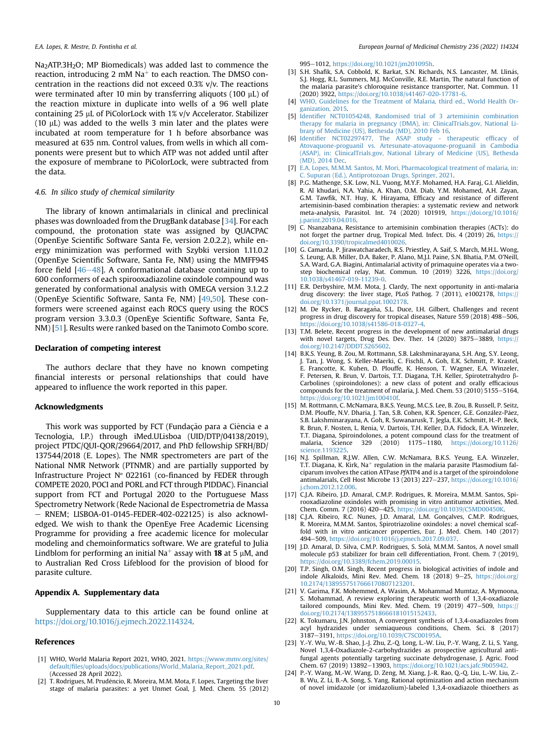Na<sub>2</sub>ATP.3H<sub>2</sub>O; MP Biomedicals) was added last to commence the reaction, introducing 2 mM  $Na<sup>+</sup>$  to each reaction. The DMSO concentration in the reactions did not exceed 0.3% v/v. The reactions were terminated after 10 min by transferring aliquots (100  $\mu$ L) of the reaction mixture in duplicate into wells of a 96 well plate containing 25 µL of PiColorLock with 1% v/v Accelerator. Stabilizer (10  $\mu$ L) was added to the wells 3 min later and the plates were incubated at room temperature for 1 h before absorbance was measured at 635 nm. Control values, from wells in which all components were present but to which ATP was not added until after the exposure of membrane to PiColorLock, were subtracted from the data.

#### 4.6. In silico study of chemical similarity

The library of known antimalarials in clinical and preclinical phases was downloaded from the DrugBank database [\[34\]](#page-10-8). For each compound, the protonation state was assigned by QUACPAC (OpenEye Scientific Software Santa Fe, version 2.0.2.2), while energy minimization was performed with Szybki version 1.11.0.2 (OpenEye Scientific Software, Santa Fe, NM) using the MMFF94S force field  $[46-48]$  $[46-48]$  $[46-48]$ . A conformational database containing up to 600 conformers of each spirooxadiazoline oxindole compound was generated by conformational analysis with OMEGA version 3.1.2.2 (OpenEye Scientific Software, Santa Fe, NM) [[49](#page-10-19)[,50\]](#page-10-20). These conformers were screened against each ROCS query using the ROCS program version 3.3.0.3 (OpenEye Scientific Software, Santa Fe, NM) [\[51](#page-10-21)]. Results were ranked based on the Tanimoto Combo score.

#### Declaration of competing interest

The authors declare that they have no known competing financial interests or personal relationships that could have appeared to influence the work reported in this paper.

#### Acknowledgments

This work was supported by FCT (Fundação para a Ciência e a Tecnologia, I.P.) through iMed.ULisboa (UID/DTP/04138/2019), project PTDC/QUI-QOR/29664/2017, and PhD fellowship SFRH/BD/ 137544/2018 (E. Lopes). The NMR spectrometers are part of the National NMR Network (PTNMR) and are partially supported by Infrastructure Project Nº 022161 (co-financed by FEDER through COMPETE 2020, POCI and PORL and FCT through PIDDAC). Financial support from FCT and Portugal 2020 to the Portuguese Mass Spectrometry Network (Rede Nacional de Espectrometria de Massa - RNEM; LISBOA-01-0145-FEDER-402-022125) is also acknowledged. We wish to thank the OpenEye Free Academic Licensing Programme for providing a free academic licence for molecular modeling and chemoinformatics software. We are grateful to Julia Lindblom for performing an initial Na<sup>+</sup> assay with **18** at 5  $\mu$ M, and to Australian Red Cross Lifeblood for the provision of blood for parasite culture.

#### Appendix A. Supplementary data

Supplementary data to this article can be found online at [https://doi.org/10.1016/j.ejmech.2022.114324.](https://doi.org/10.1016/j.ejmech.2022.114324)

#### References

- <span id="page-9-0"></span>[1] WHO, World Malaria Report 2021, WHO, 2021. [https://www.mmv.org/sites/](https://www.mmv.org/sites/default/files/uploads/docs/publications/World_Malaria_Report_2021.pdf) default/fi[les/uploads/docs/publications/World\\_Malaria\\_Report\\_2021.pdf.](https://www.mmv.org/sites/default/files/uploads/docs/publications/World_Malaria_Report_2021.pdf) (Accessed 28 April 2022).
- <span id="page-9-1"></span>[2] T. Rodrigues, M. Prudêncio, R. Moreira, M.M. Mota, F. Lopes, Targeting the liver stage of malaria parasites: a yet Unmet Goal, J. Med. Chem. 55 (2012)

995-1012, <https://doi.org/10.1021/jm201095h>.

- <span id="page-9-2"></span>[3] S.H. Shafik, S.A. Cobbold, K. Barkat, S.N. Richards, N.S. Lancaster, M. Llinás, S.J. Hogg, R.L. Summers, M.J. McConville, R.E. Martin, The natural function of the malaria parasite's chloroquine resistance transporter, Nat. Commun. 11 (2020) 3922, <https://doi.org/10.1038/s41467-020-17781-6>.
- <span id="page-9-3"></span>[4] [WHO, Guidelines for the Treatment of Malaria, third ed., World Health Or](http://refhub.elsevier.com/S0223-5234(22)00226-4/sref4)[ganization, 2015](http://refhub.elsevier.com/S0223-5234(22)00226-4/sref4).
- [5] Identifi[er NCT01054248, Randomised trial of 3 artemisinin combination](http://refhub.elsevier.com/S0223-5234(22)00226-4/sref5) [therapy for malaria in pregnancy \(DMA\), in: ClinicalTrials.gov, National Li](http://refhub.elsevier.com/S0223-5234(22)00226-4/sref5)[brary of Medicine \(US\), Bethesda \(MD\), 2010 Feb 16.](http://refhub.elsevier.com/S0223-5234(22)00226-4/sref5)
- [6] Identifi[er NCT02297477, The ASAP study therapeutic ef](http://refhub.elsevier.com/S0223-5234(22)00226-4/sref6)ficacy of [Atovaquone-proguanil vs. Artesunate-atovaquone-proguanil in Cambodia](http://refhub.elsevier.com/S0223-5234(22)00226-4/sref6) [\(ASAP\), in: ClinicalTrials.gov, National Library of Medicine \(US\), Bethesda](http://refhub.elsevier.com/S0223-5234(22)00226-4/sref6) [\(MD\), 2014 Dec.](http://refhub.elsevier.com/S0223-5234(22)00226-4/sref6)
- [7] [E.A. Lopes, M.M.M. Santos, M. Mori, Pharmacological treatment of malaria, in:](http://refhub.elsevier.com/S0223-5234(22)00226-4/sref7) [C. Supuran \(Ed.\), Antiprotozoan Drugs, Springer, 2021](http://refhub.elsevier.com/S0223-5234(22)00226-4/sref7).
- <span id="page-9-4"></span>[8] P.G. Mathenge, S.K. Low, N.L. Vuong, M.Y.F. Mohamed, H.A. Faraj, G.I. Alieldin, R. Al khudari, N.A. Yahia, A. Khan, O.M. Diab, Y.M. Mohamed, A.H. Zayan, G.M. Tawfik, N.T. Huy, K. Hirayama, Efficacy and resistance of different artemisinin-based combination therapies: a systematic review and network meta-analysis, Parasitol. Int. 74 (2020) 101919, [https://doi.org/10.1016/](https://doi.org/10.1016/j.parint.2019.04.016) [j.parint.2019.04.016](https://doi.org/10.1016/j.parint.2019.04.016).
- <span id="page-9-5"></span>[9] C. Nsanzabana, Resistance to artemisinin combination therapies (ACTs): do not forget the partner drug, Tropical Med. Infect. Dis. 4 (2019) 26, [https://](https://doi.org/10.3390/tropicalmed4010026) [doi.org/10.3390/tropicalmed4010026.](https://doi.org/10.3390/tropicalmed4010026)
- <span id="page-9-6"></span>[10] G. Camarda, P. Jirawatcharadech, R.S. Priestley, A. Saif, S. March, M.H.L. Wong, S. Leung, A.B. Miller, D.A. Baker, P. Alano, M.J.I. Paine, S.N. Bhatia, P.M. O'Neill, S.A. Ward, G.A. Biagini, Antimalarial activity of primaquine operates via a twostep biochemical relay, Nat. Commun. 10 (2019) 3226, [https://doi.org/](https://doi.org/10.1038/s41467-019-11239-0) [10.1038/s41467-019-11239-0.](https://doi.org/10.1038/s41467-019-11239-0)
- <span id="page-9-7"></span>[11] E.R. Derbyshire, M.M. Mota, J. Clardy, The next opportunity in anti-malaria drug discovery: the liver stage, PLoS Pathog. 7 (2011), e1002178, [https://](https://doi.org/10.1371/journal.ppat.1002178) [doi.org/10.1371/journal.ppat.1002178.](https://doi.org/10.1371/journal.ppat.1002178)
- <span id="page-9-8"></span>[12] M. De Rycker, B. Baragaña, S.L. Duce, I.H. Gilbert, Challenges and recent progress in drug discovery for tropical diseases, Nature 559 (2018) 498-506, [https://doi.org/10.1038/s41586-018-0327-4.](https://doi.org/10.1038/s41586-018-0327-4)
- <span id="page-9-9"></span>[13] T.M. Belete, Recent progress in the development of new antimalarial drugs with novel targets, Drug Des. Dev. Ther.  $14$  (2020) 3875-3889, [https://](https://doi.org/10.2147/DDDT.S265602) [doi.org/10.2147/DDDT.S265602](https://doi.org/10.2147/DDDT.S265602).
- <span id="page-9-10"></span>[14] B.K.S. Yeung, B. Zou, M. Rottmann, S.B. Lakshminarayana, S.H. Ang, S.Y. Leong, J. Tan, J. Wong, S. Keller-Maerki, C. Fischli, A. Goh, E.K. Schmitt, P. Krastel, E. Francotte, K. Kuhen, D. Plouffe, K. Henson, T. Wagner, E.A. Winzeler, F. Petersen, R. Brun, V. Dartois, T.T. Diagana, T.H. Keller, Spirotetrahydro b-Carbolines (spiroindolones): a new class of potent and orally efficacious compounds for the treatment of malaria, J. Med. Chem. 53 (2010) 5155-5164, <https://doi.org/10.1021/jm100410f>.
- <span id="page-9-15"></span>[15] M. Rottmann, C. McNamara, B.K.S. Yeung, M.C.S. Lee, B. Zou, B. Russell, P. Seitz, D.M. Plouffe, N.V. Dharia, J. Tan, S.B. Cohen, K.R. Spencer, G.E. González-Páez, S.B. Lakshminarayana, A. Goh, R. Suwanarusk, T. Jegla, E.K. Schmitt, H.-P. Beck, R. Brun, F. Nosten, L. Renia, V. Dartois, T.H. Keller, D.A. Fidock, E.A. Winzeler, T.T. Diagana, Spiroindolones, a potent compound class for the treatment of malaria. Science 329 (2010) 1175–1180. https://doi.org/10.1126/ 1175-1180. [https://doi.org/10.1126/](https://doi.org/10.1126/science.1193225) [science.1193225.](https://doi.org/10.1126/science.1193225)
- <span id="page-9-16"></span>[16] N.J. Spillman, R.J.W. Allen, C.W. McNamara, B.K.S. Yeung, E.A. Winzeler, T.T. Diagana, K. Kirk, Na $^+$  regulation in the malaria parasite Plasmodium falciparum involves the cation ATPase PfATP4 and is a target of the spiroindolone antimalarials, Cell Host Microbe 13 (2013) 227-237, [https://doi.org/10.1016/](https://doi.org/10.1016/j.chom.2012.12.006) [j.chom.2012.12.006](https://doi.org/10.1016/j.chom.2012.12.006).
- <span id="page-9-11"></span>[17] C.J.A. Ribeiro, J.D. Amaral, C.M.P. Rodrigues, R. Moreira, M.M.M. Santos, Spirooxadiazoline oxindoles with promising in vitro antitumor activities, Med. Chem. Comm. 7 (2016) 420-425, https://doi.org/10.1039/C5MD00450K
- [18] C.J.A. Ribeiro, R.C. Nunes, J.D. Amaral, L.M. Gonçalves, C.M.P. Rodrigues, R. Moreira, M.M.M. Santos, Spirotriazoline oxindoles: a novel chemical scaffold with in vitro anticancer properties, Eur. J. Med. Chem. 140 (2017) 494-509, <https://doi.org/10.1016/j.ejmech.2017.09.037>.
- [19] J.D. Amaral, D. Silva, C.M.P. Rodrigues, S. Solá, M.M.M. Santos, A novel small molecule p53 stabilizer for brain cell differentiation, Front. Chem. 7 (2019), <https://doi.org/10.3389/fchem.2019.00015>.
- <span id="page-9-12"></span>[20] T.P. Singh, O.M. Singh, Recent progress in biological activities of indole and indole Alkaloids, Mini Rev. Med. Chem. 18 (2018) 9-25, [https://doi.org/](https://doi.org/10.2174/1389557517666170807123201) [10.2174/1389557517666170807123201](https://doi.org/10.2174/1389557517666170807123201).
- <span id="page-9-13"></span>[21] V. Garima, F.K. Mohemmed, A. Wasim, A. Mohammad Mumtaz, A. Mymoona, S. Mohammad, A review exploring therapeutic worth of 1,3,4-oxadiazole tailored compounds, Mini Rev. Med. Chem. 19 (2019)  $477-509$ , [https://](https://doi.org/10.2174/1389557518666181015152433) [doi.org/10.2174/1389557518666181015152433.](https://doi.org/10.2174/1389557518666181015152433)
- <span id="page-9-14"></span>[22] K. Tokumaru, J.N. Johnston, A convergent synthesis of 1,3,4-oxadiazoles from acyl hydrazides under semiaqueous conditions, Chem. Sci. 8 (2017) 3187e3191, [https://doi.org/10.1039/C7SC00195A.](https://doi.org/10.1039/C7SC00195A)
- [23] Y.-Y. Wu, W.-B. Shao, J.-J. Zhu, Z.-Q. Long, L.-W. Liu, P.-Y. Wang, Z. Li, S. Yang, Novel 1,3,4-Oxadiazole-2-carbohydrazides as prospective agricultural antifungal agents potentially targeting succinate dehydrogenase, J. Agric. Food Chem. 67 (2019) 13892-13903, [https://doi.org/10.1021/acs.jafc.9b05942.](https://doi.org/10.1021/acs.jafc.9b05942)
- [24] P.-Y. Wang, M.-W. Wang, D. Zeng, M. Xiang, J.-R. Rao, Q.-Q. Liu, L.-W. Liu, Z.- B. Wu, Z. Li, B.-A. Song, S. Yang, Rational optimization and action mechanism of novel imidazole (or imidazolium)-labeled 1,3,4-oxadiazole thioethers as